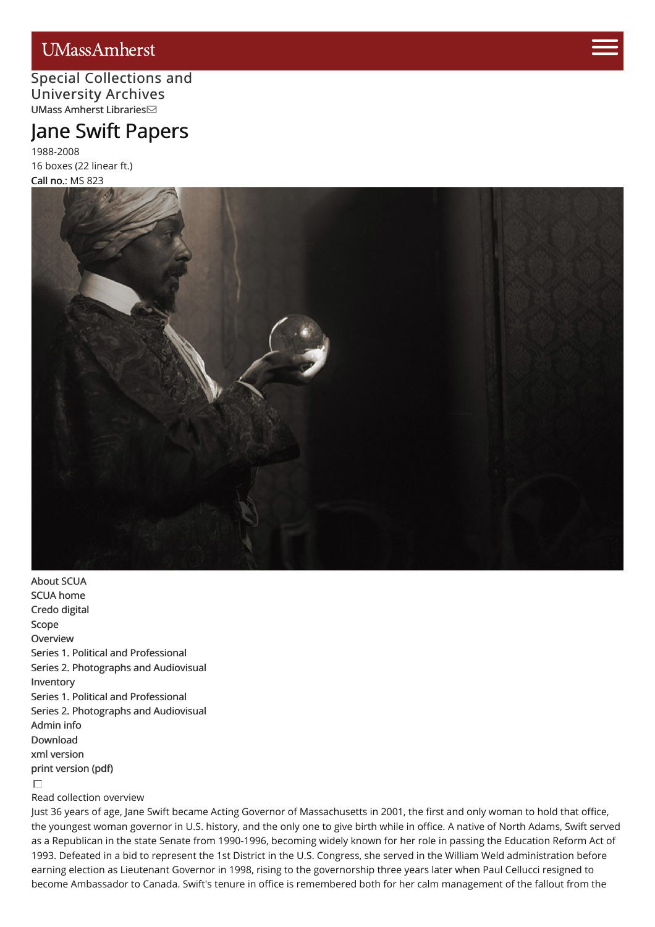# **UMassAmherst**

## Special [Collections](http://scua.library.umass.edu) [and](https://www.umass.edu/admissions/visits/visit-campus) University Archives UMass Amherst [Libraries](http://library.umass.edu)

# Jane Swift Pap[ers](https://www.umass.edu/admissions)

1988-2008 16 boxes (22 linear ft.) Call no.: MS 823



[About](http://scua.library.umass.edu/) SCUA SCUA [home](http://scua.library.umass.edu) [Credo](http://credo.library.umass.edu/) digital [Scope](#page-2-0) **[Overview](#page-2-1)** Series 1. Political and [Professional](#page-3-0) Series 2. [Photographs](#page-3-1) and Audiovisual [Inventory](#page-3-2) Series 1. Political and [Professional](#page-15-0) Series 2. [Photographs](#page-29-0) and Audiovisual [Admin](#page-33-0) info [Download](http://scua.library.umass.edu/) xml [version](file:///tmp/mums823.xml) print [version](file:///tmp/mums823.pdf) (pdf)  $\Box$ 

#### Read collection overview

Just 36 years of age, Jane Swift became Acting Governor of Massachusetts in 2001, the first and only woman to hold that office, the youngest woman governor in U.S. history, and the only one to give birth while in office. A native of North Adams, Swift served as a Republican in the state Senate from 1990-1996, becoming widely known for her role in passing the Education Reform Act of 1993. Defeated in a bid to represent the 1st District in the U.S. Congress, she served in the William Weld administration before earning election as Lieutenant Governor in 1998, rising to the governorship three years later when Paul Cellucci resigned to become Ambassador to Canada. Swift's tenure in office is remembered both for her calm management of the fallout from the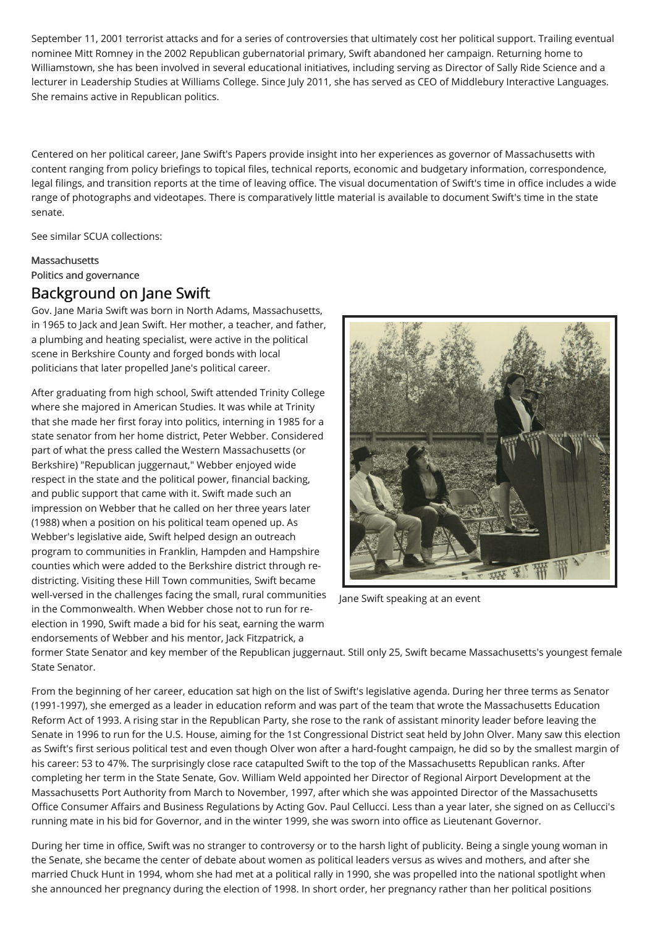September 11, 2001 terrorist attacks and for a series of controversies that ultimately cost her political support. Trailing eventual nominee Mitt Romney in the 2002 Republican gubernatorial primary, Swift abandoned her campaign. Returning home to Williamstown, she has been involved in several educational initiatives, including serving as Director of Sally Ride Science and a lecturer in Leadership Studies at Williams College. Since July 2011, she has served as CEO of Middlebury Interactive Languages. She remains active in Republican politics.

Centered on her political career, Jane Swift's Papers provide insight into her experiences as governor of Massachusetts with content ranging from policy briefings to topical files, technical reports, economic and budgetary information, correspondence, legal filings, and transition reports at the time of leaving office. The visual documentation of Swift's time in office includes a wide range of photographs and videotapes. There is comparatively little material is available to document Swift's time in the state senate.

See similar SCUA collections:

**[Massachusetts](http://scua.library.umass.edu/umarmot/category/new-england/massachusetts)** Politics and [governance](http://scua.library.umass.edu/umarmot/category/politics-governance)

# Background on Jane Swift

Gov. Jane Maria Swift was born in North Adams, Massachusetts, in 1965 to Jack and Jean Swift. Her mother, a teacher, and father, a plumbing and heating specialist, were active in the political scene in Berkshire County and forged bonds with local politicians that later propelled Jane's political career.

After graduating from high school, Swift attended Trinity College where she majored in American Studies. It was while at Trinity that she made her first foray into politics, interning in 1985 for a state senator from her home district, Peter Webber. Considered part of what the press called the Western Massachusetts (or Berkshire) "Republican juggernaut," Webber enjoyed wide respect in the state and the political power, financial backing, and public support that came with it. Swift made such an impression on Webber that he called on her three years later (1988) when a position on his political team opened up. As Webber's legislative aide, Swift helped design an outreach program to communities in Franklin, Hampden and Hampshire counties which were added to the Berkshire district through redistricting. Visiting these Hill Town communities, Swift became well-versed in the challenges facing the small, rural communities in the Commonwealth. When Webber chose not to run for reelection in 1990, Swift made a bid for his seat, earning the warm endorsements of Webber and his mentor, Jack Fitzpatrick, a



Jane Swift speaking at an event

former State Senator and key member of the Republican juggernaut. Still only 25, Swift became Massachusetts's youngest female State Senator.

From the beginning of her career, education sat high on the list of Swift's legislative agenda. During her three terms as Senator (1991-1997), she emerged as a leader in education reform and was part of the team that wrote the Massachusetts Education Reform Act of 1993. A rising star in the Republican Party, she rose to the rank of assistant minority leader before leaving the Senate in 1996 to run for the U.S. House, aiming for the 1st Congressional District seat held by John Olver. Many saw this election as Swift's first serious political test and even though Olver won after a hard-fought campaign, he did so by the smallest margin of his career: 53 to 47%. The surprisingly close race catapulted Swift to the top of the Massachusetts Republican ranks. After completing her term in the State Senate, Gov. William Weld appointed her Director of Regional Airport Development at the Massachusetts Port Authority from March to November, 1997, after which she was appointed Director of the Massachusetts Office Consumer Affairs and Business Regulations by Acting Gov. Paul Cellucci. Less than a year later, she signed on as Cellucci's running mate in his bid for Governor, and in the winter 1999, she was sworn into office as Lieutenant Governor.

During her time in office, Swift was no stranger to controversy or to the harsh light of publicity. Being a single young woman in the Senate, she became the center of debate about women as political leaders versus as wives and mothers, and after she married Chuck Hunt in 1994, whom she had met at a political rally in 1990, she was propelled into the national spotlight when she announced her pregnancy during the election of 1998. In short order, her pregnancy rather than her political positions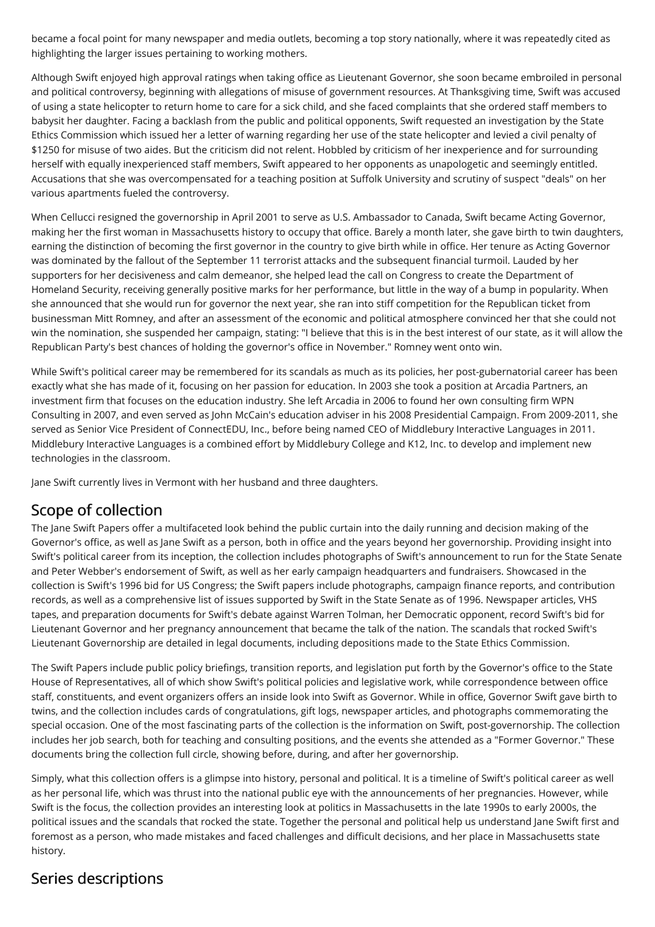became a focal point for many newspaper and media outlets, becoming a top story nationally, where it was repeatedly cited as highlighting the larger issues pertaining to working mothers.

Although Swift enjoyed high approval ratings when taking office as Lieutenant Governor, she soon became embroiled in personal and political controversy, beginning with allegations of misuse of government resources. At Thanksgiving time, Swift was accused of using a state helicopter to return home to care for a sick child, and she faced complaints that she ordered staff members to babysit her daughter. Facing a backlash from the public and political opponents, Swift requested an investigation by the State Ethics Commission which issued her a letter of warning regarding her use of the state helicopter and levied a civil penalty of \$1250 for misuse of two aides. But the criticism did not relent. Hobbled by criticism of her inexperience and for surrounding herself with equally inexperienced staff members, Swift appeared to her opponents as unapologetic and seemingly entitled. Accusations that she was overcompensated for a teaching position at Suffolk University and scrutiny of suspect "deals" on her various apartments fueled the controversy.

When Cellucci resigned the governorship in April 2001 to serve as U.S. Ambassador to Canada, Swift became Acting Governor, making her the first woman in Massachusetts history to occupy that office. Barely a month later, she gave birth to twin daughters, earning the distinction of becoming the first governor in the country to give birth while in office. Her tenure as Acting Governor was dominated by the fallout of the September 11 terrorist attacks and the subsequent financial turmoil. Lauded by her supporters for her decisiveness and calm demeanor, she helped lead the call on Congress to create the Department of Homeland Security, receiving generally positive marks for her performance, but little in the way of a bump in popularity. When she announced that she would run for governor the next year, she ran into stiff competition for the Republican ticket from businessman Mitt Romney, and after an assessment of the economic and political atmosphere convinced her that she could not win the nomination, she suspended her campaign, stating: "I believe that this is in the best interest of our state, as it will allow the Republican Party's best chances of holding the governor's office in November." Romney went onto win.

While Swift's political career may be remembered for its scandals as much as its policies, her post-gubernatorial career has been exactly what she has made of it, focusing on her passion for education. In 2003 she took a position at Arcadia Partners, an investment firm that focuses on the education industry. She left Arcadia in 2006 to found her own consulting firm WPN Consulting in 2007, and even served as John McCain's education adviser in his 2008 Presidential Campaign. From 2009-2011, she served as Senior Vice President of ConnectEDU, Inc., before being named CEO of Middlebury Interactive Languages in 2011. Middlebury Interactive Languages is a combined effort by Middlebury College and K12, Inc. to develop and implement new technologies in the classroom.

Jane Swift currently lives in Vermont with her husband and three daughters.

# <span id="page-2-0"></span>Scope of collection

The Jane Swift Papers offer a multifaceted look behind the public curtain into the daily running and decision making of the Governor's office, as well as Jane Swift as a person, both in office and the years beyond her governorship. Providing insight into Swift's political career from its inception, the collection includes photographs of Swift's announcement to run for the State Senate and Peter Webber's endorsement of Swift, as well as her early campaign headquarters and fundraisers. Showcased in the collection is Swift's 1996 bid for US Congress; the Swift papers include photographs, campaign finance reports, and contribution records, as well as a comprehensive list of issues supported by Swift in the State Senate as of 1996. Newspaper articles, VHS tapes, and preparation documents for Swift's debate against Warren Tolman, her Democratic opponent, record Swift's bid for Lieutenant Governor and her pregnancy announcement that became the talk of the nation. The scandals that rocked Swift's Lieutenant Governorship are detailed in legal documents, including depositions made to the State Ethics Commission.

The Swift Papers include public policy briefings, transition reports, and legislation put forth by the Governor's office to the State House of Representatives, all of which show Swift's political policies and legislative work, while correspondence between office staff, constituents, and event organizers offers an inside look into Swift as Governor. While in office, Governor Swift gave birth to twins, and the collection includes cards of congratulations, gift logs, newspaper articles, and photographs commemorating the special occasion. One of the most fascinating parts of the collection is the information on Swift, post-governorship. The collection includes her job search, both for teaching and consulting positions, and the events she attended as a "Former Governor." These documents bring the collection full circle, showing before, during, and after her governorship.

Simply, what this collection offers is a glimpse into history, personal and political. It is a timeline of Swift's political career as well as her personal life, which was thrust into the national public eye with the announcements of her pregnancies. However, while Swift is the focus, the collection provides an interesting look at politics in Massachusetts in the late 1990s to early 2000s, the political issues and the scandals that rocked the state. Together the personal and political help us understand Jane Swift first and foremost as a person, who made mistakes and faced challenges and difficult decisions, and her place in Massachusetts state history.

# <span id="page-2-1"></span>Series descriptions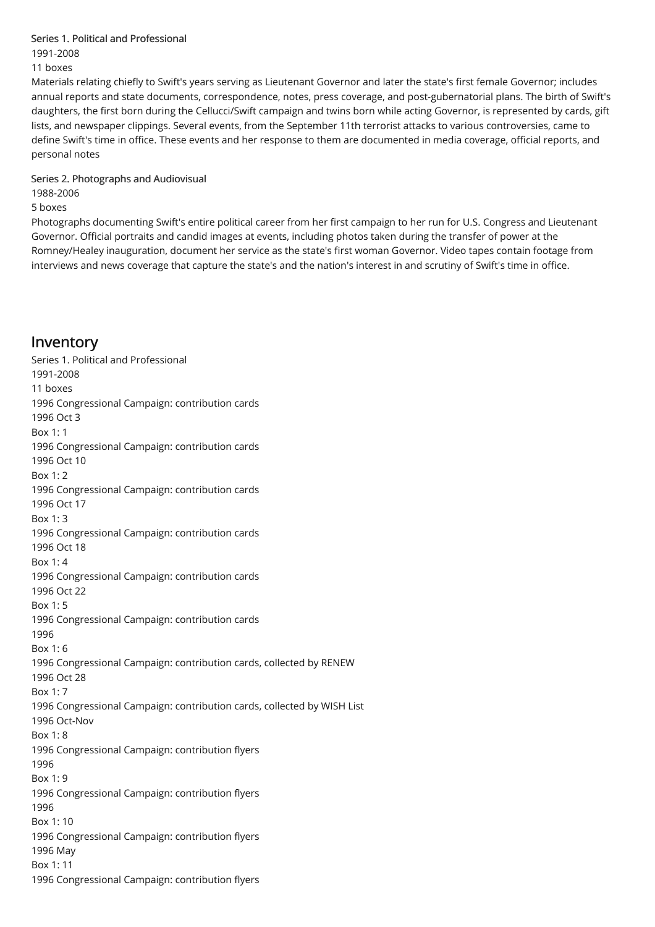#### <span id="page-3-0"></span>Series 1. Political and [Professional](#page-15-0)

1991-2008

#### 11 boxes

Materials relating chiefly to Swift's years serving as Lieutenant Governor and later the state's first female Governor; includes annual reports and state documents, correspondence, notes, press coverage, and post-gubernatorial plans. The birth of Swift's daughters, the first born during the Cellucci/Swift campaign and twins born while acting Governor, is represented by cards, gift lists, and newspaper clippings. Several events, from the September 11th terrorist attacks to various controversies, came to define Swift's time in office. These events and her response to them are documented in media coverage, official reports, and personal notes

#### <span id="page-3-1"></span>Series 2. [Photographs](#page-29-0) and Audiovisual

1988-2006

5 boxes

Photographs documenting Swift's entire political career from her first campaign to her run for U.S. Congress and Lieutenant Governor. Official portraits and candid images at events, including photos taken during the transfer of power at the Romney/Healey inauguration, document her service as the state's first woman Governor. Video tapes contain footage from interviews and news coverage that capture the state's and the nation's interest in and scrutiny of Swift's time in office.

# <span id="page-3-2"></span>Inventory

Series 1. Political and Professional 1991-2008 11 boxes 1996 Congressional Campaign: contribution cards 1996 Oct 3 Box 1: 1 1996 Congressional Campaign: contribution cards 1996 Oct 10  $Box 1: 2$ 1996 Congressional Campaign: contribution cards 1996 Oct 17 Box 1: 3 1996 Congressional Campaign: contribution cards 1996 Oct 18 Box 1: 4 1996 Congressional Campaign: contribution cards 1996 Oct 22 Box 1: 5 1996 Congressional Campaign: contribution cards 1996 Box 1: 6 1996 Congressional Campaign: contribution cards, collected by RENEW 1996 Oct 28 Box 1: 7 1996 Congressional Campaign: contribution cards, collected by WISH List 1996 Oct-Nov Box 1: 8 1996 Congressional Campaign: contribution flyers 1996 Box 1: 9 1996 Congressional Campaign: contribution flyers 1996 Box 1: 10 1996 Congressional Campaign: contribution flyers 1996 May Box 1: 11 1996 Congressional Campaign: contribution flyers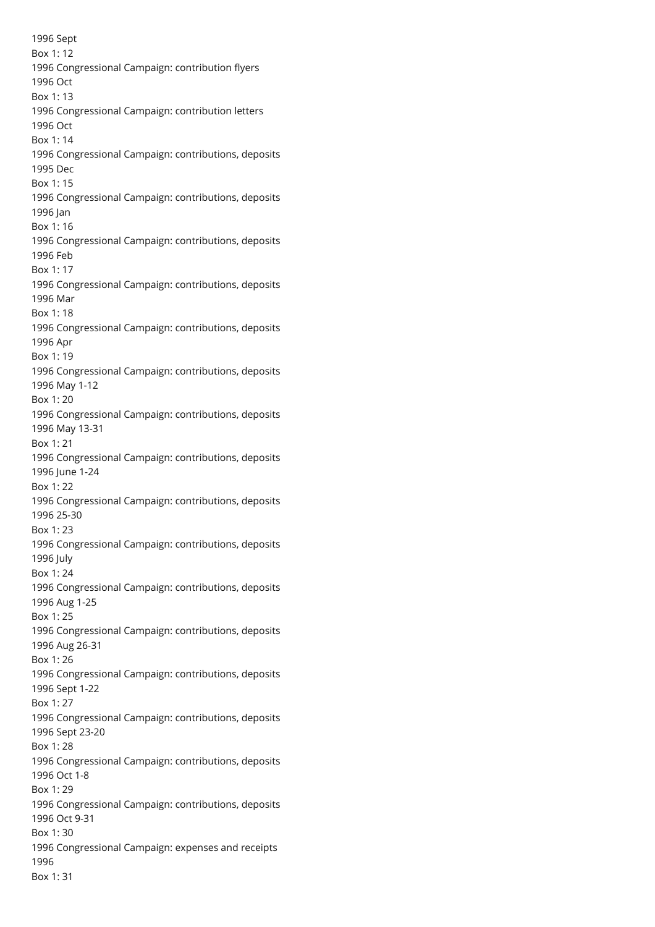Sept Box 1: 12 Congressional Campaign: contribution flyers Oct Box 1: 13 Congressional Campaign: contribution letters Oct Box 1: 14 Congressional Campaign: contributions, deposits Dec Box 1: 15 Congressional Campaign: contributions, deposits Jan Box 1: 16 Congressional Campaign: contributions, deposits Feb Box 1: 17 Congressional Campaign: contributions, deposits Mar Box 1: 18 Congressional Campaign: contributions, deposits Apr Box 1: 19 Congressional Campaign: contributions, deposits May 1-12 Box 1: 20 Congressional Campaign: contributions, deposits May 13-31 Box 1: 21 Congressional Campaign: contributions, deposits June 1-24 Box 1: 22 Congressional Campaign: contributions, deposits 25-30 Box 1: 23 Congressional Campaign: contributions, deposits July Box 1: 24 Congressional Campaign: contributions, deposits Aug 1-25 Box 1: 25 Congressional Campaign: contributions, deposits Aug 26-31 Box 1: 26 Congressional Campaign: contributions, deposits Sept 1-22 Box 1: 27 Congressional Campaign: contributions, deposits Sept 23-20 Box 1: 28 Congressional Campaign: contributions, deposits Oct 1-8 Box 1: 29 Congressional Campaign: contributions, deposits Oct 9-31 Box 1: 30 Congressional Campaign: expenses and receipts Box 1: 31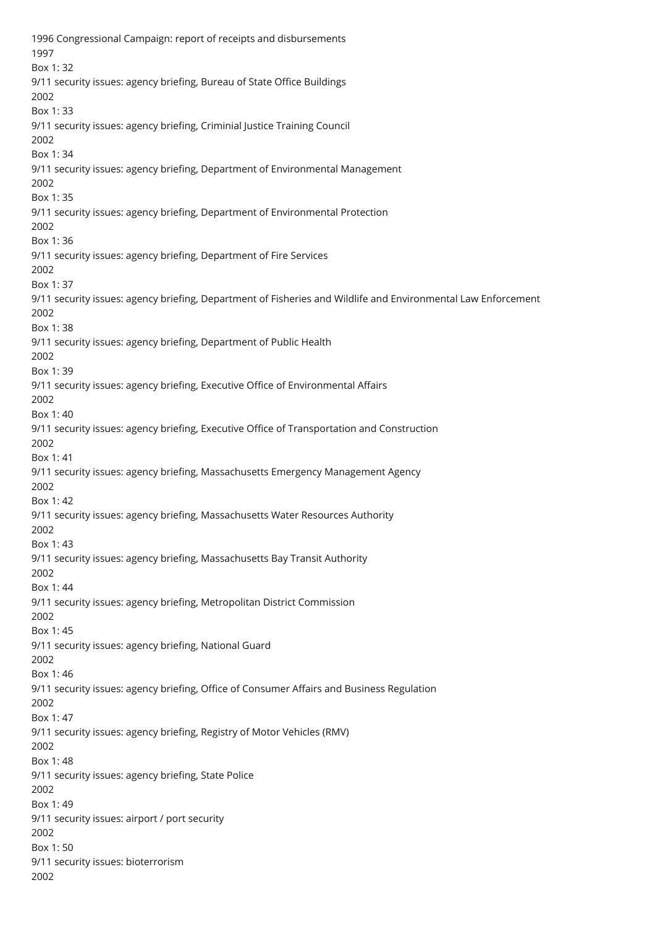1996 Congressional Campaign: report of receipts and disbursements 1997 Box 1: 32 9/11 security issues: agency briefing, Bureau of State Office Buildings 2002 Box 1: 33 9/11 security issues: agency briefing, Criminial Justice Training Council 2002 Box 1: 34 9/11 security issues: agency briefing, Department of Environmental Management 2002 Box 1: 35 9/11 security issues: agency briefing, Department of Environmental Protection 2002 Box 1: 36 9/11 security issues: agency briefing, Department of Fire Services 2002 Box 1: 37 9/11 security issues: agency briefing, Department of Fisheries and Wildlife and Environmental Law Enforcement 2002 Box 1: 38 9/11 security issues: agency briefing, Department of Public Health 2002 Box 1: 39 9/11 security issues: agency briefing, Executive Office of Environmental Affairs 2002 Box 1: 40 9/11 security issues: agency briefing, Executive Office of Transportation and Construction 2002 Box 1: 41 9/11 security issues: agency briefing, Massachusetts Emergency Management Agency 2002 Box 1: 42 9/11 security issues: agency briefing, Massachusetts Water Resources Authority 2002 Box 1: 43 9/11 security issues: agency briefing, Massachusetts Bay Transit Authority 2002 Box 1: 44 9/11 security issues: agency briefing, Metropolitan District Commission 2002 Box 1: 45 9/11 security issues: agency briefing, National Guard 2002 Box 1: 46 9/11 security issues: agency briefing, Office of Consumer Affairs and Business Regulation 2002 Box 1: 47 9/11 security issues: agency briefing, Registry of Motor Vehicles (RMV) 2002 Box 1: 48 9/11 security issues: agency briefing, State Police 2002 Box 1: 49 9/11 security issues: airport / port security 2002 Box 1: 50 9/11 security issues: bioterrorism 2002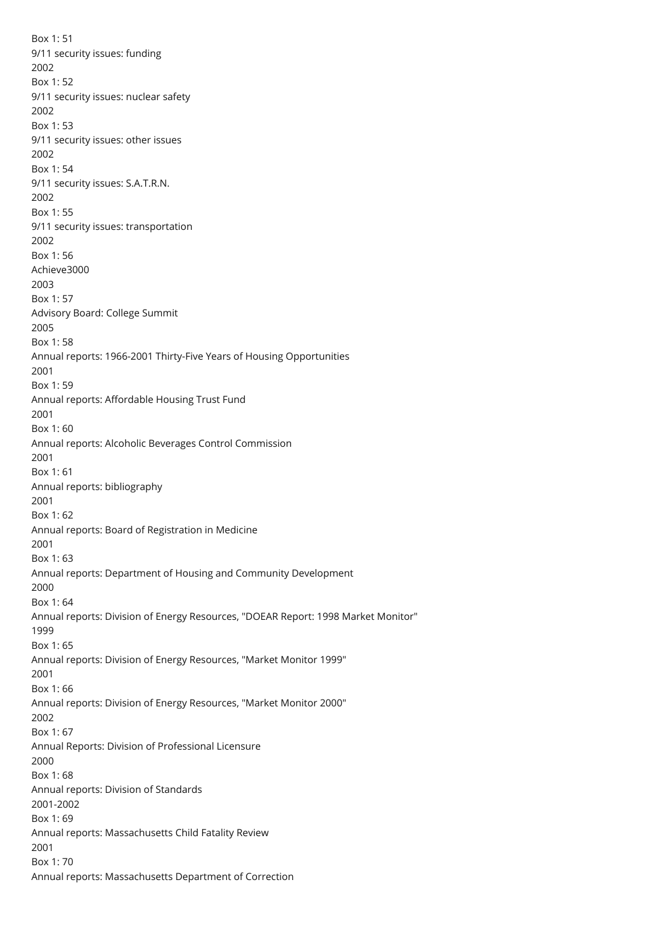Box 1: 51 9/11 security issues: funding 2002 Box 1: 52 9/11 security issues: nuclear safety 2002 Box 1: 53 9/11 security issues: other issues 2002 Box 1: 54 9/11 security issues: S.A.T.R.N. 2002 Box 1: 55 9/11 security issues: transportation 2002 Box 1: 56 Achieve3000 2003 Box 1: 57 Advisory Board: College Summit 2005 Box 1: 58 Annual reports: 1966-2001 Thirty-Five Years of Housing Opportunities 2001 Box 1: 59 Annual reports: Affordable Housing Trust Fund 2001 Box 1: 60 Annual reports: Alcoholic Beverages Control Commission 2001 Box 1: 61 Annual reports: bibliography 2001 Box 1: 62 Annual reports: Board of Registration in Medicine 2001 Box 1: 63 Annual reports: Department of Housing and Community Development 2000 Box 1: 64 Annual reports: Division of Energy Resources, "DOEAR Report: 1998 Market Monitor" 1999 Box 1: 65 Annual reports: Division of Energy Resources, "Market Monitor 1999" 2001 Box 1: 66 Annual reports: Division of Energy Resources, "Market Monitor 2000" 2002 Box 1: 67 Annual Reports: Division of Professional Licensure 2000 Box 1: 68 Annual reports: Division of Standards 2001-2002 Box 1: 69 Annual reports: Massachusetts Child Fatality Review 2001 Box 1: 70 Annual reports: Massachusetts Department of Correction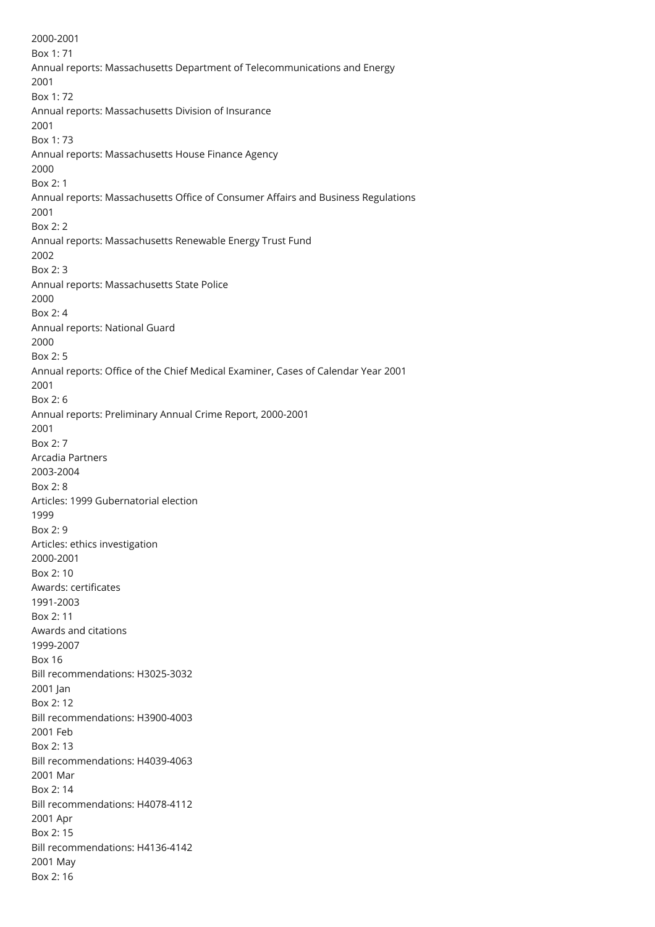2000-2001 Box 1: 71 Annual reports: Massachusetts Department of Telecommunications and Energy 2001 Box 1: 72 Annual reports: Massachusetts Division of Insurance 2001 Box 1: 73 Annual reports: Massachusetts House Finance Agency 2000 Box 2: 1 Annual reports: Massachusetts Office of Consumer Affairs and Business Regulations 2001  $Box 2: 2$ Annual reports: Massachusetts Renewable Energy Trust Fund 2002 Box 2: 3 Annual reports: Massachusetts State Police 2000 Box 2: 4 Annual reports: National Guard 2000 Box 2: 5 Annual reports: Office of the Chief Medical Examiner, Cases of Calendar Year 2001 2001 Box 2: 6 Annual reports: Preliminary Annual Crime Report, 2000-2001 2001  $Box 2: 7$ Arcadia Partners 2003-2004 Box 2: 8 Articles: 1999 Gubernatorial election 1999 Box 2: 9 Articles: ethics investigation 2000-2001 Box 2: 10 Awards: certificates 1991-2003 Box 2: 11 Awards and citations 1999-2007 Box 16 Bill recommendations: H3025-3032 2001 Jan Box 2: 12 Bill recommendations: H3900-4003 2001 Feb Box 2: 13 Bill recommendations: H4039-4063 2001 Mar Box 2: 14 Bill recommendations: H4078-4112 2001 Apr Box 2: 15 Bill recommendations: H4136-4142 2001 May Box 2: 16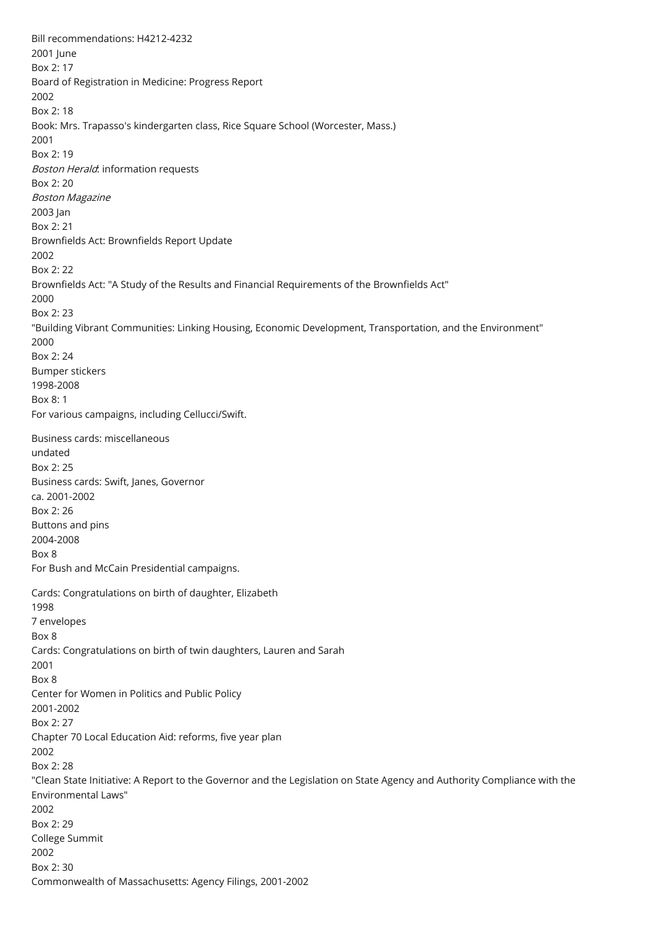Bill recommendations: H4212-4232 2001 June Box 2: 17 Board of Registration in Medicine: Progress Report 2002 Box 2: 18 Book: Mrs. Trapasso's kindergarten class, Rice Square School (Worcester, Mass.) 2001 Box 2: 19 Boston Herald: information requests Box 2: 20 Boston Magazine 2003 Jan Box 2: 21 Brownfields Act: Brownfields Report Update 2002 Box 2: 22 Brownfields Act: "A Study of the Results and Financial Requirements of the Brownfields Act" 2000 Box 2: 23 "Building Vibrant Communities: Linking Housing, Economic Development, Transportation, and the Environment" 2000 Box 2: 24 Bumper stickers 1998-2008 Box 8: 1 For various campaigns, including Cellucci/Swift. Business cards: miscellaneous undated Box 2: 25 Business cards: Swift, Janes, Governor ca. 2001-2002 Box 2: 26 Buttons and pins 2004-2008 Box 8 For Bush and McCain Presidential campaigns. Cards: Congratulations on birth of daughter, Elizabeth 1998 7 envelopes Box 8 Cards: Congratulations on birth of twin daughters, Lauren and Sarah 2001 Box 8 Center for Women in Politics and Public Policy 2001-2002 Box 2: 27 Chapter 70 Local Education Aid: reforms, five year plan 2002 Box 2: 28 "Clean State Initiative: A Report to the Governor and the Legislation on State Agency and Authority Compliance with the Environmental Laws" 2002 Box 2: 29 College Summit 2002 Box 2: 30 Commonwealth of Massachusetts: Agency Filings, 2001-2002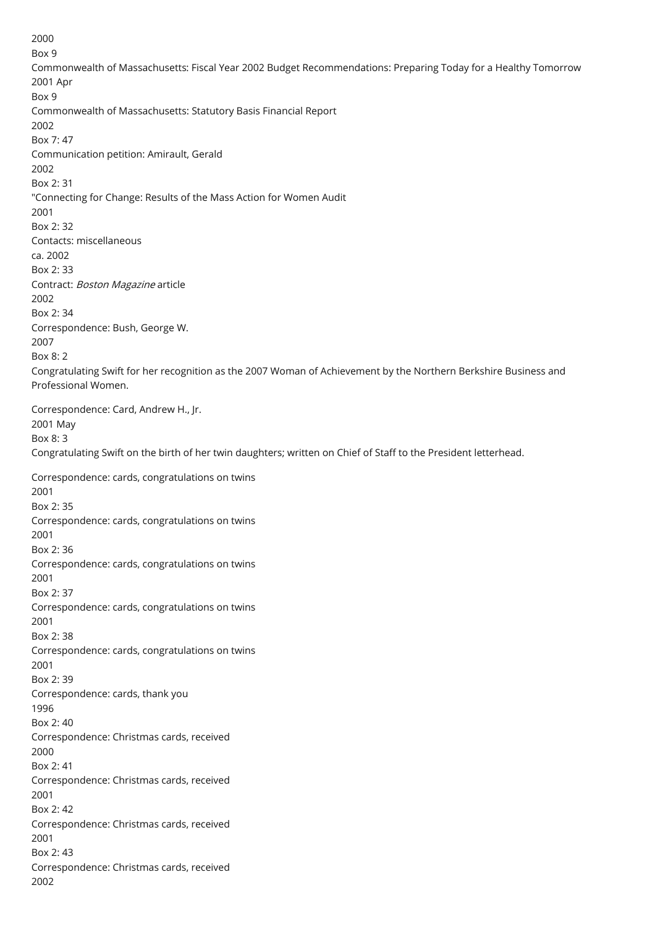2000 Box 9 Commonwealth of Massachusetts: Fiscal Year 2002 Budget Recommendations: Preparing Today for a Healthy Tomorrow 2001 Apr Box 9 Commonwealth of Massachusetts: Statutory Basis Financial Report 2002 Box 7: 47 Communication petition: Amirault, Gerald 2002 Box 2: 31 "Connecting for Change: Results of the Mass Action for Women Audit 2001  $Box 2: 32$ Contacts: miscellaneous ca. 2002 Box 2: 33 Contract: Boston Magazine article 2002 Box 2: 34 Correspondence: Bush, George W. 2007 Box 8: 2 Congratulating Swift for her recognition as the 2007 Woman of Achievement by the Northern Berkshire Business and Professional Women. Correspondence: Card, Andrew H., Jr. 2001 May Box 8: 3 Congratulating Swift on the birth of her twin daughters; written on Chief of Staff to the President letterhead. Correspondence: cards, congratulations on twins 2001 Box 2: 35 Correspondence: cards, congratulations on twins 2001 Box 2: 36 Correspondence: cards, congratulations on twins 2001 Box 2: 37 Correspondence: cards, congratulations on twins 2001 Box 2: 38 Correspondence: cards, congratulations on twins 2001 Box 2: 39 Correspondence: cards, thank you 1996 Box 2: 40 Correspondence: Christmas cards, received 2000 Box 2: 41 Correspondence: Christmas cards, received 2001 Box 2: 42 Correspondence: Christmas cards, received 2001 Box 2: 43 Correspondence: Christmas cards, received 2002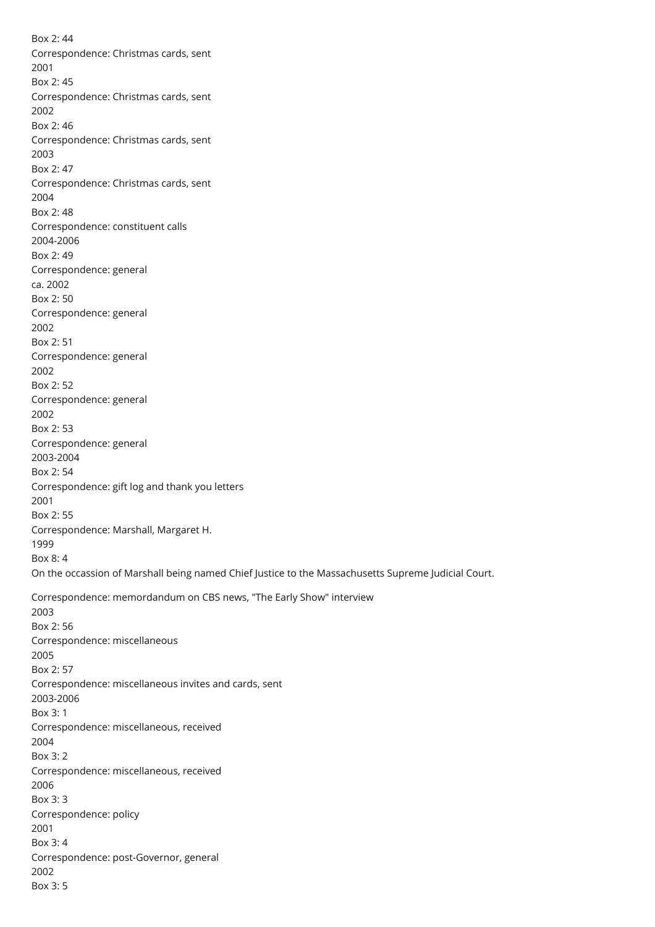Box 2: 44 Correspondence: Christmas cards, sent 2001 Box 2: 45 Correspondence: Christmas cards, sent 2002 Box 2: 46 Correspondence: Christmas cards, sent 2003 Box 2: 47 Correspondence: Christmas cards, sent 2004 Box 2: 48 Correspondence: constituent calls 2004-2006 Box 2: 49 Correspondence: general ca. 2002 Box 2: 50 Correspondence: general 2002 Box 2: 51 Correspondence: general 2002 Box 2: 52 Correspondence: general 2002 Box 2: 53 Correspondence: general 2003-2004 Box 2: 54 Correspondence: gift log and thank you letters 2001 Box 2: 55 Correspondence: Marshall, Margaret H. 1999 Box 8: 4 On the occassion of Marshall being named Chief Justice to the Massachusetts Supreme Judicial Court. Correspondence: memordandum on CBS news, "The Early Show" interview 2003 Box 2: 56 Correspondence: miscellaneous 2005 Box 2: 57 Correspondence: miscellaneous invites and cards, sent 2003-2006 Box 3: 1 Correspondence: miscellaneous, received 2004 Box 3: 2 Correspondence: miscellaneous, received 2006 Box 3: 3 Correspondence: policy 2001 Box 3: 4 Correspondence: post-Governor, general 2002 Box 3: 5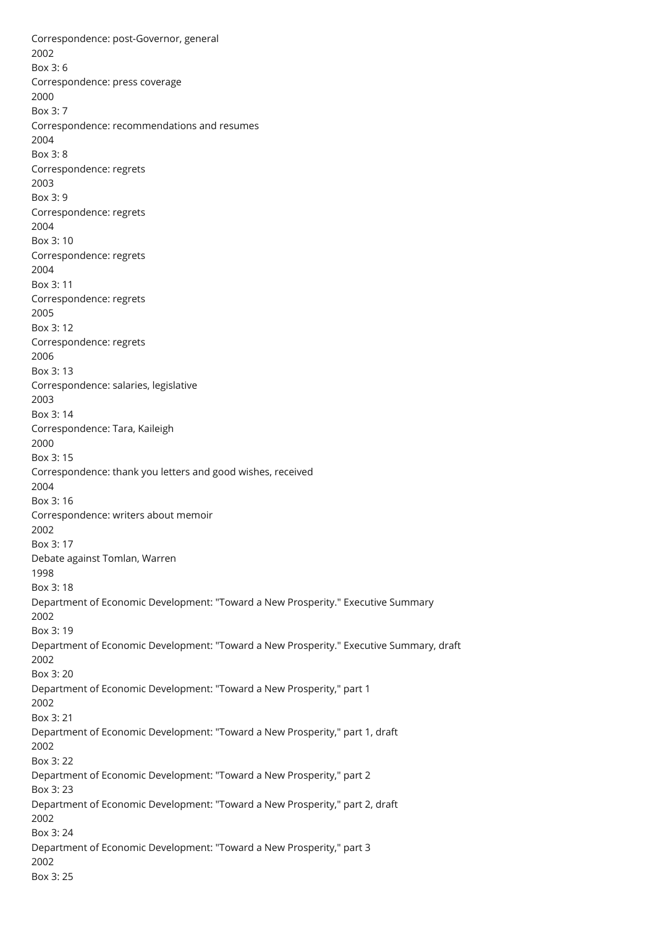Correspondence: post-Governor, general 2002 Box 3: 6 Correspondence: press coverage 2000 Box 3: 7 Correspondence: recommendations and resumes 2004 Box 3: 8 Correspondence: regrets 2003 Box 3: 9 Correspondence: regrets 2004 Box 3: 10 Correspondence: regrets 2004 Box 3: 11 Correspondence: regrets 2005 Box 3: 12 Correspondence: regrets 2006 Box 3: 13 Correspondence: salaries, legislative 2003 Box 3: 14 Correspondence: Tara, Kaileigh 2000 Box 3: 15 Correspondence: thank you letters and good wishes, received 2004 Box 3: 16 Correspondence: writers about memoir 2002 Box 3: 17 Debate against Tomlan, Warren 1998 Box 3: 18 Department of Economic Development: "Toward a New Prosperity." Executive Summary 2002 Box 3: 19 Department of Economic Development: "Toward a New Prosperity." Executive Summary, draft 2002 Box 3: 20 Department of Economic Development: "Toward a New Prosperity," part 1 2002 Box 3: 21 Department of Economic Development: "Toward a New Prosperity," part 1, draft 2002 Box 3: 22 Department of Economic Development: "Toward a New Prosperity," part 2 Box 3: 23 Department of Economic Development: "Toward a New Prosperity," part 2, draft 2002 Box 3: 24 Department of Economic Development: "Toward a New Prosperity," part 3 2002 Box 3: 25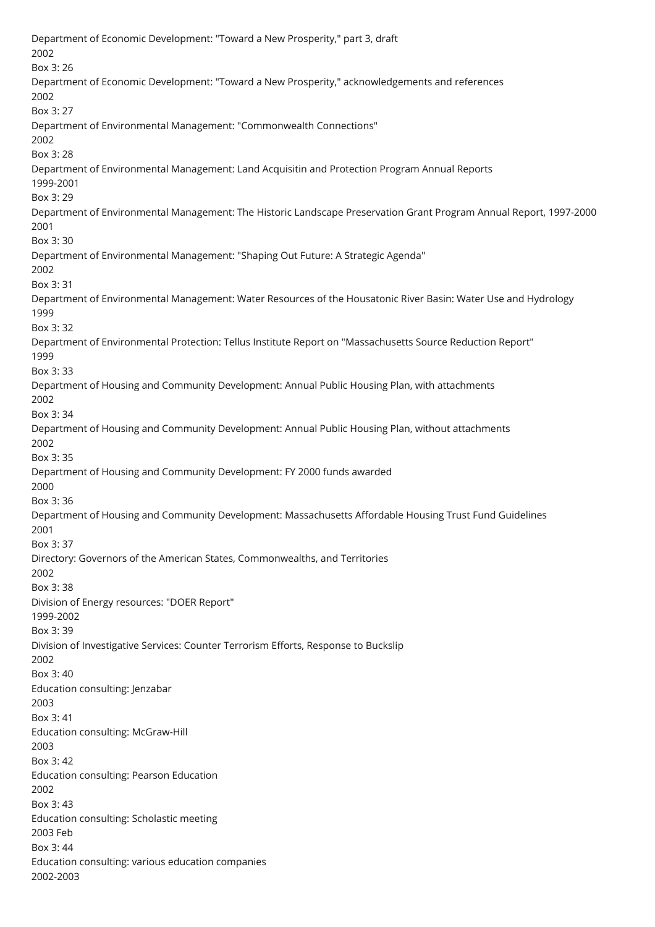Department of Economic Development: "Toward a New Prosperity," part 3, draft 2002 Box 3: 26 Department of Economic Development: "Toward a New Prosperity," acknowledgements and references 2002 Box 3: 27 Department of Environmental Management: "Commonwealth Connections" 2002 Box 3: 28 Department of Environmental Management: Land Acquisitin and Protection Program Annual Reports 1999-2001 Box 3: 29 Department of Environmental Management: The Historic Landscape Preservation Grant Program Annual Report, 1997-2000 2001 Box 3: 30 Department of Environmental Management: "Shaping Out Future: A Strategic Agenda" 2002 Box 3: 31 Department of Environmental Management: Water Resources of the Housatonic River Basin: Water Use and Hydrology 1999 Box 3: 32 Department of Environmental Protection: Tellus Institute Report on "Massachusetts Source Reduction Report" 1999 Box 3: 33 Department of Housing and Community Development: Annual Public Housing Plan, with attachments 2002 Box 3: 34 Department of Housing and Community Development: Annual Public Housing Plan, without attachments 2002 Box 3: 35 Department of Housing and Community Development: FY 2000 funds awarded 2000 Box 3: 36 Department of Housing and Community Development: Massachusetts Affordable Housing Trust Fund Guidelines 2001 Box 3: 37 Directory: Governors of the American States, Commonwealths, and Territories 2002 Box 3: 38 Division of Energy resources: "DOER Report" 1999-2002 Box 3: 39 Division of Investigative Services: Counter Terrorism Efforts, Response to Buckslip 2002 Box 3: 40 Education consulting: Jenzabar 2003 Box 3: 41 Education consulting: McGraw-Hill 2003 Box 3: 42 Education consulting: Pearson Education 2002 Box 3: 43 Education consulting: Scholastic meeting 2003 Feb Box 3: 44 Education consulting: various education companies 2002-2003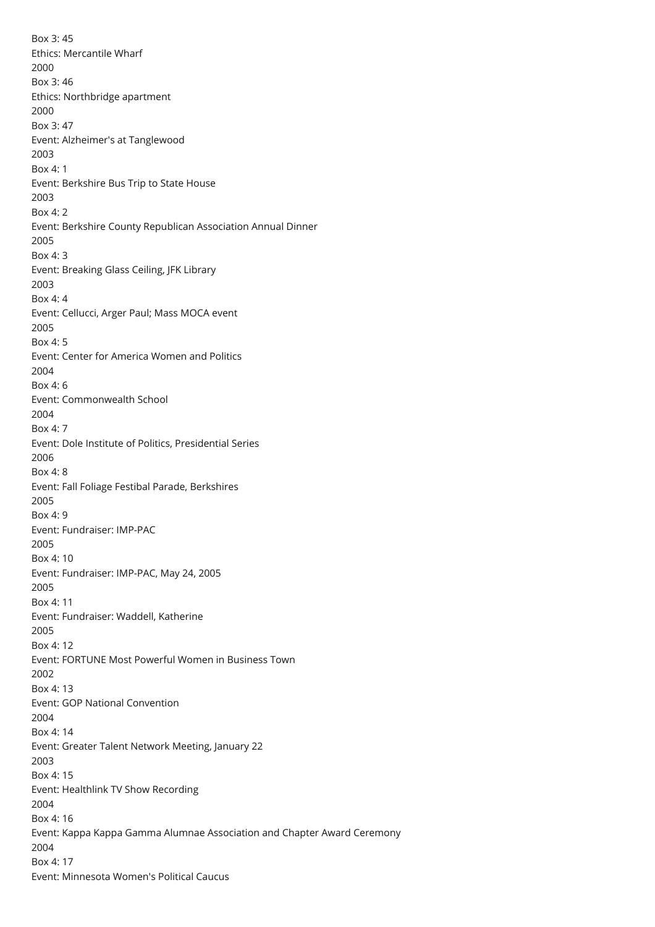Box 3: 45 Ethics: Mercantile Wharf 2000 Box 3: 46 Ethics: Northbridge apartment 2000 Box 3: 47 Event: Alzheimer's at Tanglewood 2003 Box 4: 1 Event: Berkshire Bus Trip to State House 2003 Box 4: 2 Event: Berkshire County Republican Association Annual Dinner 2005 Box 4: 3 Event: Breaking Glass Ceiling, JFK Library 2003 Box 4: 4 Event: Cellucci, Arger Paul; Mass MOCA event 2005 Box 4: 5 Event: Center for America Women and Politics 2004 Box 4: 6 Event: Commonwealth School 2004 Box 4: 7 Event: Dole Institute of Politics, Presidential Series 2006 Box 4: 8 Event: Fall Foliage Festibal Parade, Berkshires 2005 Box 4: 9 Event: Fundraiser: IMP-PAC 2005 Box 4: 10 Event: Fundraiser: IMP-PAC, May 24, 2005 2005 Box 4: 11 Event: Fundraiser: Waddell, Katherine 2005 Box 4: 12 Event: FORTUNE Most Powerful Women in Business Town 2002 Box 4: 13 Event: GOP National Convention 2004 Box 4: 14 Event: Greater Talent Network Meeting, January 22 2003 Box 4: 15 Event: Healthlink TV Show Recording 2004 Box 4: 16 Event: Kappa Kappa Gamma Alumnae Association and Chapter Award Ceremony 2004 Box 4: 17 Event: Minnesota Women's Political Caucus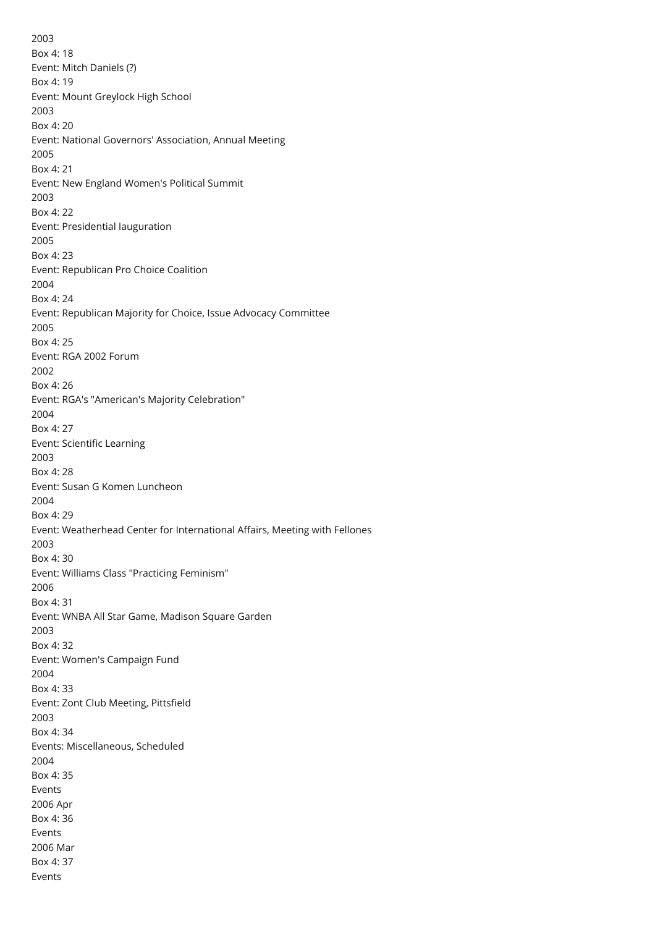2003 Box 4: 18 Event: Mitch Daniels (?) Box 4: 19 Event: Mount Greylock High School 2003 Box 4: 20 Event: National Governors' Association, Annual Meeting 2005 Box 4: 21 Event: New England Women's Political Summit 2003 Box 4: 22 Event: Presidential Iauguration 2005 Box 4: 23 Event: Republican Pro Choice Coalition 2004 Box 4: 24 Event: Republican Majority for Choice, Issue Advocacy Committee 2005 Box 4: 25 Event: RGA 2002 Forum 2002 Box 4: 26 Event: RGA's "American's Majority Celebration" 2004 Box 4: 27 Event: Scientific Learning 2003 Box 4: 28 Event: Susan G Komen Luncheon 2004 Box 4: 29 Event: Weatherhead Center for International Affairs, Meeting with Fellones 2003 Box 4: 30 Event: Williams Class "Practicing Feminism" 2006 Box 4: 31 Event: WNBA All Star Game, Madison Square Garden 2003 Box 4: 32 Event: Women's Campaign Fund 2004 Box 4: 33 Event: Zont Club Meeting, Pittsfield 2003 Box 4: 34 Events: Miscellaneous, Scheduled 2004 Box 4: 35 Events 2006 Apr Box 4: 36 Events 2006 Mar Box 4: 37 Events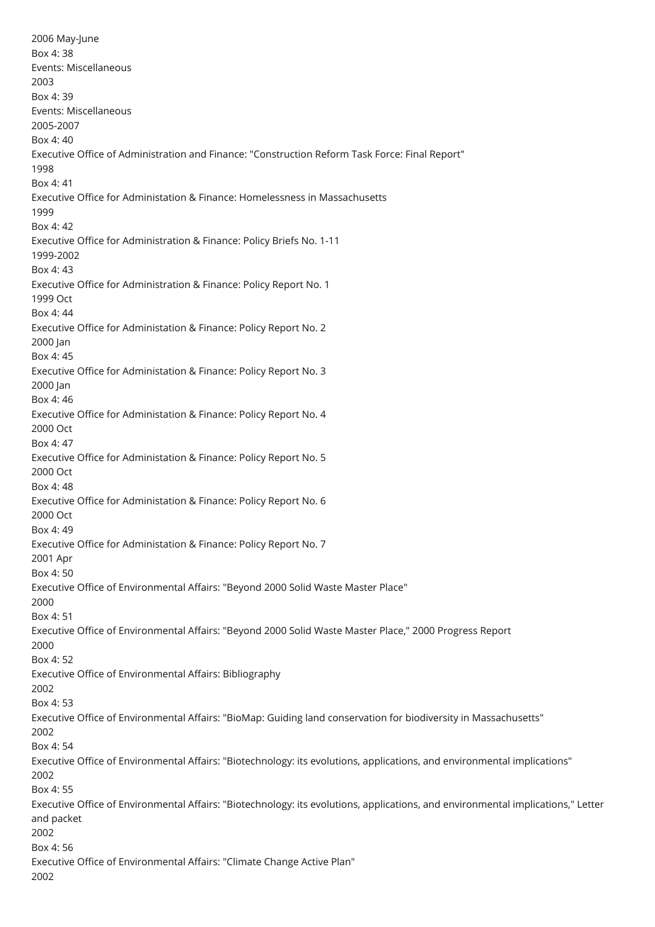<span id="page-15-0"></span>2006 May-June Box 4: 38 Events: Miscellaneous 2003 Box 4: 39 Events: Miscellaneous 2005-2007 Box 4: 40 Executive Office of Administration and Finance: "Construction Reform Task Force: Final Report" 1998 Box 4: 41 Executive Office for Administation & Finance: Homelessness in Massachusetts 1999 Box 4: 42 Executive Office for Administration & Finance: Policy Briefs No. 1-11 1999-2002 Box 4: 43 Executive Office for Administration & Finance: Policy Report No. 1 1999 Oct Box 4: 44 Executive Office for Administation & Finance: Policy Report No. 2 2000 Jan Box 4: 45 Executive Office for Administation & Finance: Policy Report No. 3 2000 Jan Box 4: 46 Executive Office for Administation & Finance: Policy Report No. 4 2000 Oct Box 4: 47 Executive Office for Administation & Finance: Policy Report No. 5 2000 Oct Box 4: 48 Executive Office for Administation & Finance: Policy Report No. 6 2000 Oct Box 4: 49 Executive Office for Administation & Finance: Policy Report No. 7 2001 Apr Box 4: 50 Executive Office of Environmental Affairs: "Beyond 2000 Solid Waste Master Place" 2000 Box 4: 51 Executive Office of Environmental Affairs: "Beyond 2000 Solid Waste Master Place," 2000 Progress Report 2000 Box 4: 52 Executive Office of Environmental Affairs: Bibliography 2002 Box 4: 53 Executive Office of Environmental Affairs: "BioMap: Guiding land conservation for biodiversity in Massachusetts" 2002 Box 4: 54 Executive Office of Environmental Affairs: "Biotechnology: its evolutions, applications, and environmental implications" 2002 Box 4: 55 Executive Office of Environmental Affairs: "Biotechnology: its evolutions, applications, and environmental implications," Letter and packet 2002 Box 4: 56 Executive Office of Environmental Affairs: "Climate Change Active Plan" 2002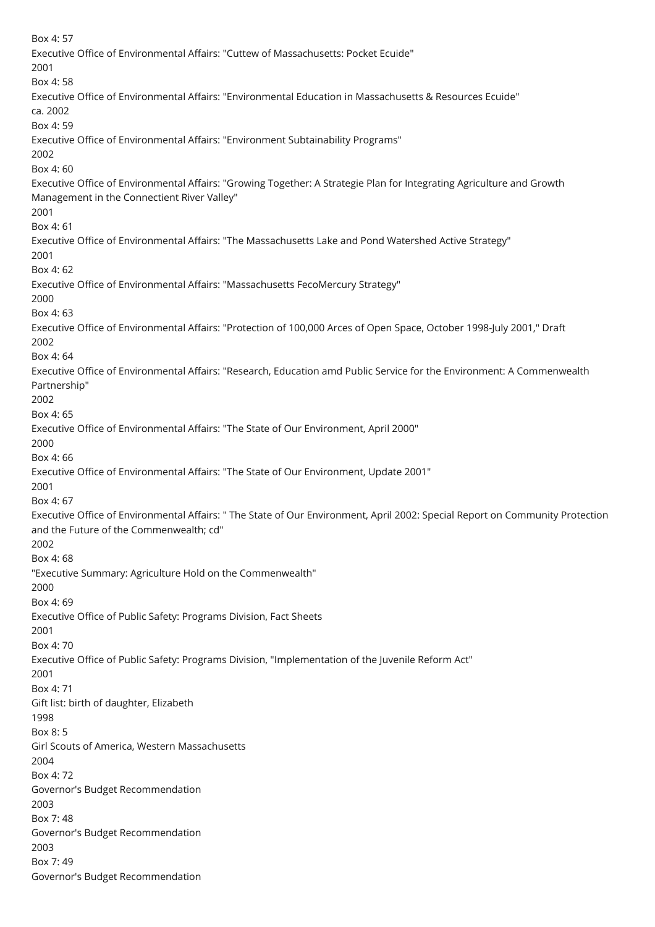Box 4: 57 Executive Office of Environmental Affairs: "Cuttew of Massachusetts: Pocket Ecuide" 2001 Box 4: 58 Executive Office of Environmental Affairs: "Environmental Education in Massachusetts & Resources Ecuide" ca. 2002 Box 4: 59 Executive Office of Environmental Affairs: "Environment Subtainability Programs" 2002 Box 4: 60 Executive Office of Environmental Affairs: "Growing Together: A Strategie Plan for Integrating Agriculture and Growth Management in the Connectient River Valley" 2001 Box 4: 61 Executive Office of Environmental Affairs: "The Massachusetts Lake and Pond Watershed Active Strategy" 2001 Box 4: 62 Executive Office of Environmental Affairs: "Massachusetts FecoMercury Strategy" 2000 Box 4: 63 Executive Office of Environmental Affairs: "Protection of 100,000 Arces of Open Space, October 1998-July 2001," Draft 2002 Box 4: 64 Executive Office of Environmental Affairs: "Research, Education amd Public Service for the Environment: A Commenwealth Partnership" 2002 Box 4: 65 Executive Office of Environmental Affairs: "The State of Our Environment, April 2000" 2000 Box 4: 66 Executive Office of Environmental Affairs: "The State of Our Environment, Update 2001" 2001 Box 4: 67 Executive Office of Environmental Affairs: " The State of Our Environment, April 2002: Special Report on Community Protection and the Future of the Commenwealth; cd" 2002 Box 4: 68 "Executive Summary: Agriculture Hold on the Commenwealth" 2000 Box 4: 69 Executive Office of Public Safety: Programs Division, Fact Sheets 2001 Box 4: 70 Executive Office of Public Safety: Programs Division, "Implementation of the Juvenile Reform Act" 2001 Box 4: 71 Gift list: birth of daughter, Elizabeth 1998 Box 8: 5 Girl Scouts of America, Western Massachusetts 2004 Box 4: 72 Governor's Budget Recommendation 2003 Box 7: 48 Governor's Budget Recommendation 2003 Box 7: 49 Governor's Budget Recommendation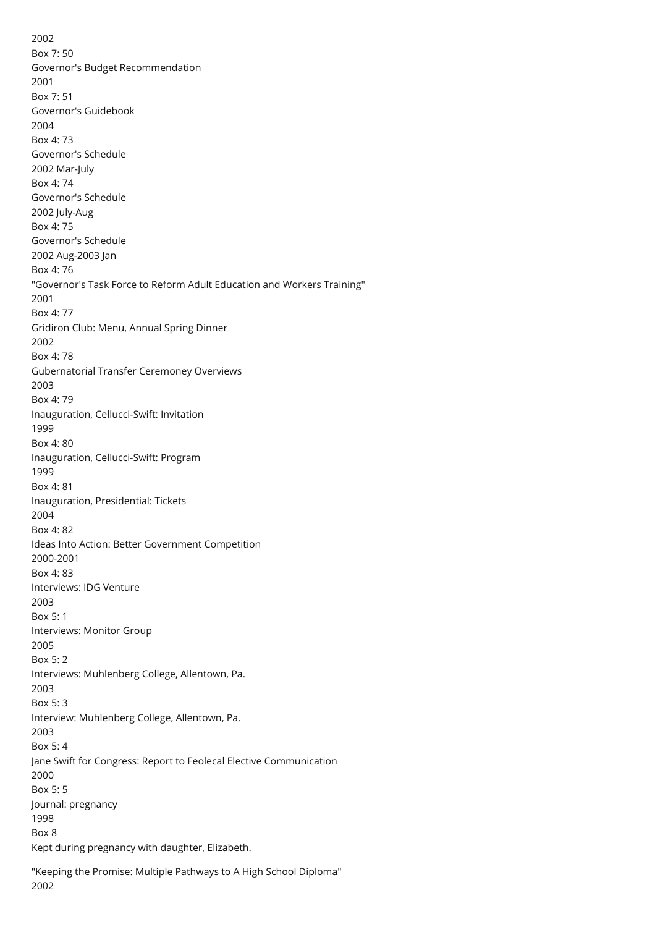2002 Box 7: 50 Governor's Budget Recommendation 2001 Box 7: 51 Governor's Guidebook 2004 Box 4: 73 Governor's Schedule 2002 Mar-July Box 4: 74 Governor's Schedule 2002 July-Aug Box 4: 75 Governor's Schedule 2002 Aug-2003 Jan Box 4: 76 "Governor's Task Force to Reform Adult Education and Workers Training" 2001 Box 4: 77 Gridiron Club: Menu, Annual Spring Dinner 2002 Box 4: 78 Gubernatorial Transfer Ceremoney Overviews 2003 Box 4: 79 Inauguration, Cellucci-Swift: Invitation 1999 Box 4: 80 Inauguration, Cellucci-Swift: Program 1999 Box 4: 81 Inauguration, Presidential: Tickets 2004 Box 4: 82 Ideas Into Action: Better Government Competition 2000-2001 Box 4: 83 Interviews: IDG Venture 2003 Box 5: 1 Interviews: Monitor Group 2005 Box 5: 2 Interviews: Muhlenberg College, Allentown, Pa. 2003 Box 5: 3 Interview: Muhlenberg College, Allentown, Pa. 2003 Box 5: 4 Jane Swift for Congress: Report to Feolecal Elective Communication 2000 Box 5: 5 Journal: pregnancy 1998 Box 8 Kept during pregnancy with daughter, Elizabeth.

"Keeping the Promise: Multiple Pathways to A High School Diploma" 2002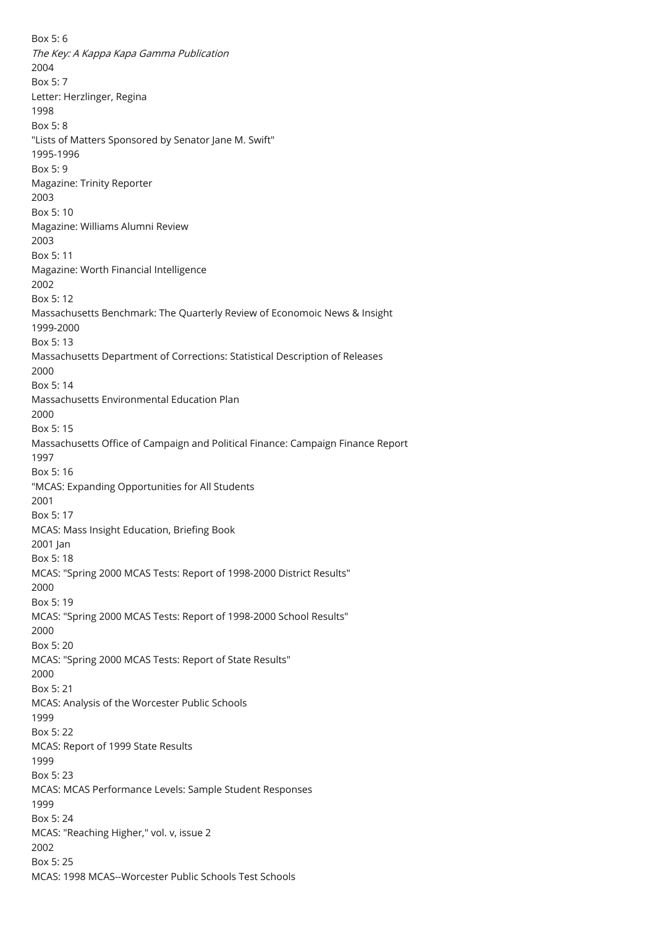Box 5: 6 The Key: A Kappa Kapa Gamma Publication 2004 Box 5: 7 Letter: Herzlinger, Regina 1998 Box 5: 8 "Lists of Matters Sponsored by Senator Jane M. Swift" 1995-1996 Box 5: 9 Magazine: Trinity Reporter 2003 Box 5: 10 Magazine: Williams Alumni Review 2003 Box 5: 11 Magazine: Worth Financial Intelligence 2002 Box 5: 12 Massachusetts Benchmark: The Quarterly Review of Economoic News & Insight 1999-2000 Box 5: 13 Massachusetts Department of Corrections: Statistical Description of Releases 2000 Box 5: 14 Massachusetts Environmental Education Plan 2000 Box 5: 15 Massachusetts Office of Campaign and Political Finance: Campaign Finance Report 1997 Box 5: 16 "MCAS: Expanding Opportunities for All Students 2001 Box 5: 17 MCAS: Mass Insight Education, Briefing Book 2001 Jan Box 5: 18 MCAS: "Spring 2000 MCAS Tests: Report of 1998-2000 District Results" 2000 Box 5: 19 MCAS: "Spring 2000 MCAS Tests: Report of 1998-2000 School Results" 2000 Box 5: 20 MCAS: "Spring 2000 MCAS Tests: Report of State Results" 2000 Box 5: 21 MCAS: Analysis of the Worcester Public Schools 1999 Box 5: 22 MCAS: Report of 1999 State Results 1999 Box 5: 23 MCAS: MCAS Performance Levels: Sample Student Responses 1999 Box 5: 24 MCAS: "Reaching Higher," vol. v, issue 2 2002 Box 5: 25 MCAS: 1998 MCAS--Worcester Public Schools Test Schools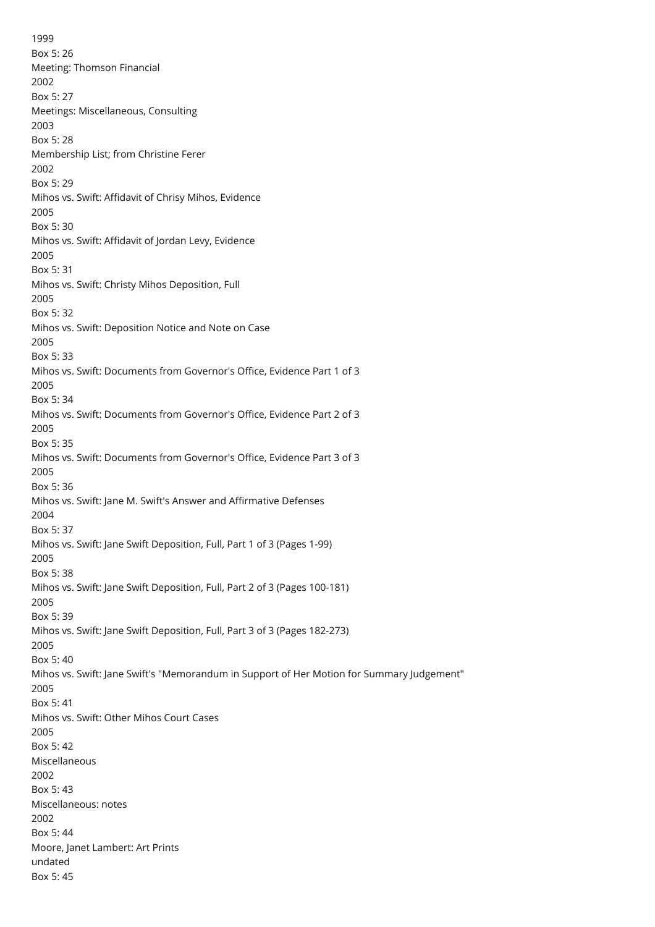1999 Box 5: 26 Meeting: Thomson Financial 2002 Box 5: 27 Meetings: Miscellaneous, Consulting 2003 Box 5: 28 Membership List; from Christine Ferer 2002 Box 5: 29 Mihos vs. Swift: Affidavit of Chrisy Mihos, Evidence 2005 Box 5: 30 Mihos vs. Swift: Affidavit of Jordan Levy, Evidence 2005 Box 5: 31 Mihos vs. Swift: Christy Mihos Deposition, Full 2005 Box 5: 32 Mihos vs. Swift: Deposition Notice and Note on Case 2005 Box 5: 33 Mihos vs. Swift: Documents from Governor's Office, Evidence Part 1 of 3 2005 Box 5: 34 Mihos vs. Swift: Documents from Governor's Office, Evidence Part 2 of 3 2005 Box 5: 35 Mihos vs. Swift: Documents from Governor's Office, Evidence Part 3 of 3 2005 Box 5: 36 Mihos vs. Swift: Jane M. Swift's Answer and Affirmative Defenses 2004 Box 5: 37 Mihos vs. Swift: Jane Swift Deposition, Full, Part 1 of 3 (Pages 1-99) 2005 Box 5: 38 Mihos vs. Swift: Jane Swift Deposition, Full, Part 2 of 3 (Pages 100-181) 2005 Box 5: 39 Mihos vs. Swift: Jane Swift Deposition, Full, Part 3 of 3 (Pages 182-273) 2005 Box 5: 40 Mihos vs. Swift: Jane Swift's "Memorandum in Support of Her Motion for Summary Judgement" 2005 Box 5: 41 Mihos vs. Swift: Other Mihos Court Cases 2005 Box 5: 42 Miscellaneous 2002 Box 5: 43 Miscellaneous: notes 2002 Box 5: 44 Moore, Janet Lambert: Art Prints undated Box 5: 45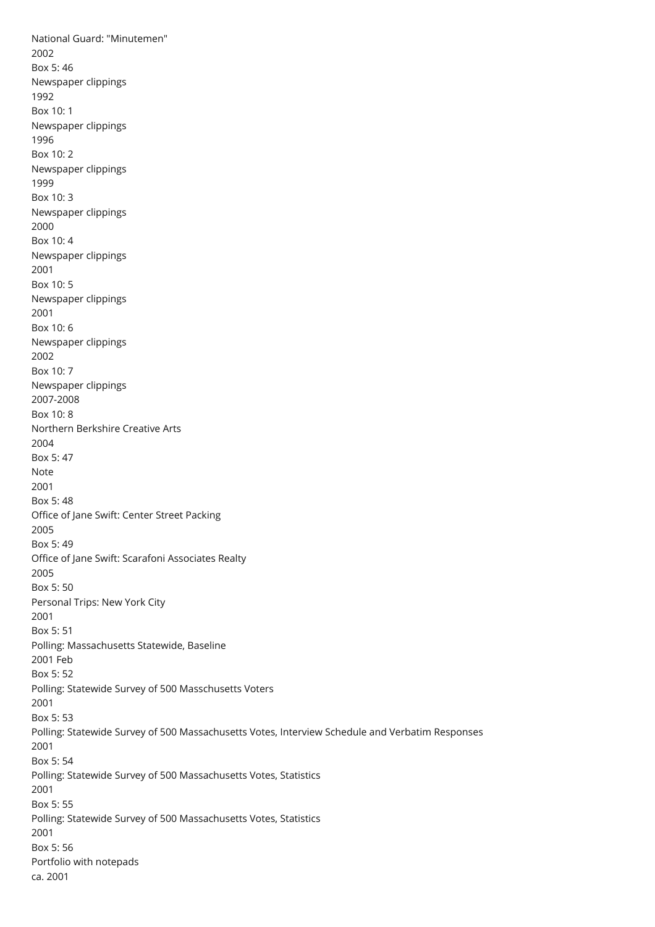National Guard: "Minutemen" 2002 Box 5: 46 Newspaper clippings 1992 Box 10: 1 Newspaper clippings 1996 Box 10: 2 Newspaper clippings 1999 Box 10: 3 Newspaper clippings 2000 Box 10: 4 Newspaper clippings 2001 Box 10: 5 Newspaper clippings 2001 Box 10: 6 Newspaper clippings 2002 Box 10: 7 Newspaper clippings 2007-2008 Box 10: 8 Northern Berkshire Creative Arts 2004 Box 5: 47 Note 2001 Box 5: 48 Office of Jane Swift: Center Street Packing 2005 Box 5: 49 Office of Jane Swift: Scarafoni Associates Realty 2005 Box 5: 50 Personal Trips: New York City 2001 Box 5: 51 Polling: Massachusetts Statewide, Baseline 2001 Feb Box 5: 52 Polling: Statewide Survey of 500 Masschusetts Voters 2001 Box 5: 53 Polling: Statewide Survey of 500 Massachusetts Votes, Interview Schedule and Verbatim Responses 2001 Box 5: 54 Polling: Statewide Survey of 500 Massachusetts Votes, Statistics 2001 Box 5: 55 Polling: Statewide Survey of 500 Massachusetts Votes, Statistics 2001 Box 5: 56 Portfolio with notepads ca. 2001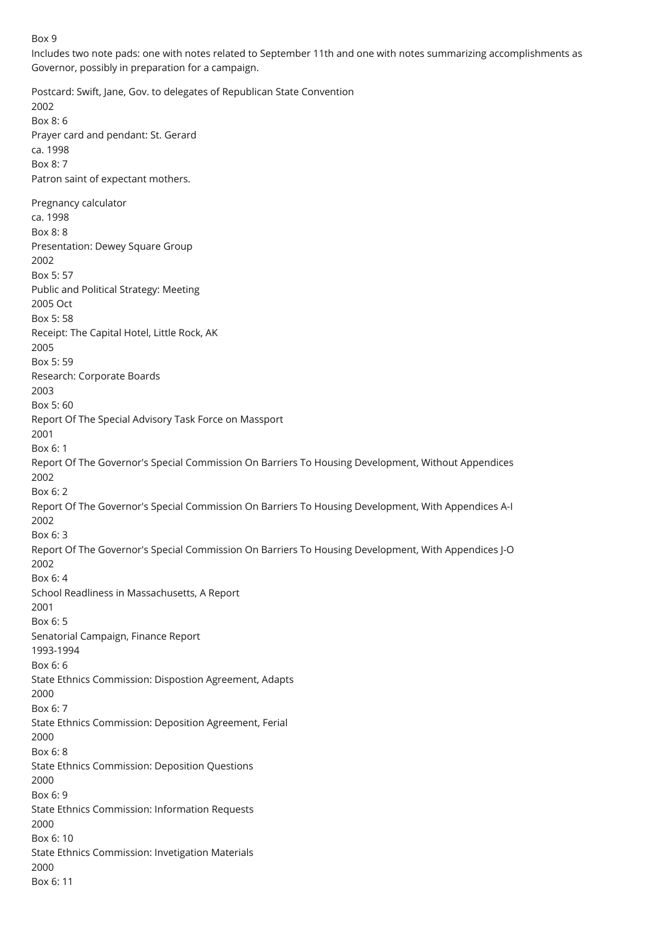#### Box 9

Includes two note pads: one with notes related to September 11th and one with notes summarizing accomplishments as Governor, possibly in preparation for a campaign.

Postcard: Swift, Jane, Gov. to delegates of Republican State Convention 2002 Box 8: 6 Prayer card and pendant: St. Gerard ca. 1998 Box 8: 7 Patron saint of expectant mothers. Pregnancy calculator ca. 1998 Box 8: 8 Presentation: Dewey Square Group 2002 Box 5: 57 Public and Political Strategy: Meeting 2005 Oct Box 5: 58 Receipt: The Capital Hotel, Little Rock, AK 2005 Box 5: 59 Research: Corporate Boards 2003 Box 5: 60 Report Of The Special Advisory Task Force on Massport 2001 Box 6: 1 Report Of The Governor's Special Commission On Barriers To Housing Development, Without Appendices 2002 Box 6: 2 Report Of The Governor's Special Commission On Barriers To Housing Development, With Appendices A-I 2002 Box 6: 3 Report Of The Governor's Special Commission On Barriers To Housing Development, With Appendices J-O 2002 Box 6: 4 School Readliness in Massachusetts, A Report 2001 Box 6: 5 Senatorial Campaign, Finance Report 1993-1994 Box 6: 6 State Ethnics Commission: Dispostion Agreement, Adapts 2000 Box 6: 7 State Ethnics Commission: Deposition Agreement, Ferial 2000 Box 6: 8 State Ethnics Commission: Deposition Questions 2000 Box 6: 9 State Ethnics Commission: Information Requests 2000 Box 6: 10 State Ethnics Commission: Invetigation Materials 2000 Box 6: 11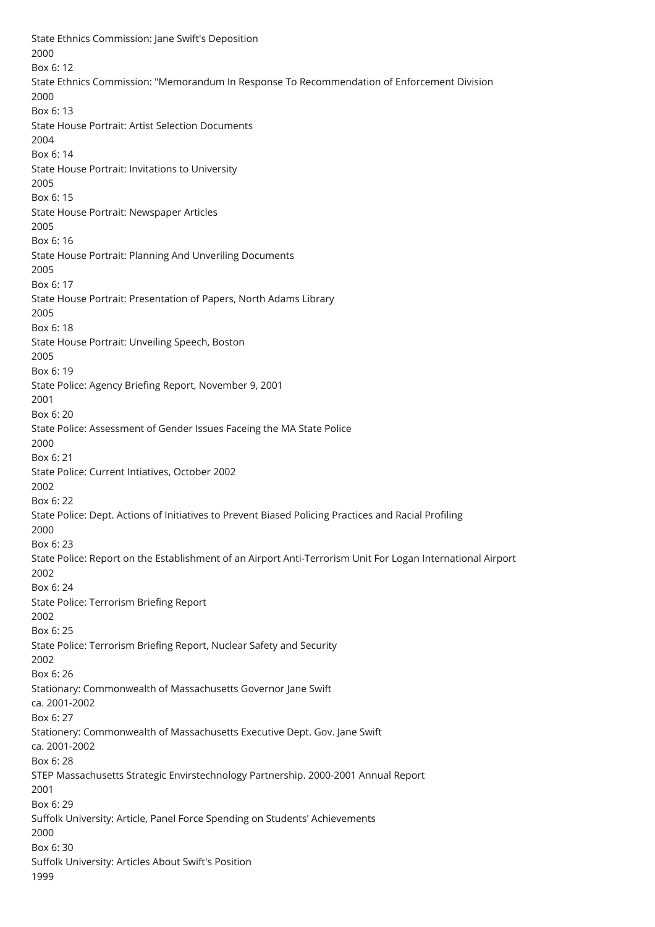State Ethnics Commission: Jane Swift's Deposition 2000 Box 6: 12 State Ethnics Commission: "Memorandum In Response To Recommendation of Enforcement Division 2000 Box 6: 13 State House Portrait: Artist Selection Documents 2004 Box 6: 14 State House Portrait: Invitations to University 2005 Box 6: 15 State House Portrait: Newspaper Articles 2005 Box 6: 16 State House Portrait: Planning And Unveriling Documents 2005 Box 6: 17 State House Portrait: Presentation of Papers, North Adams Library 2005 Box 6: 18 State House Portrait: Unveiling Speech, Boston 2005 Box 6: 19 State Police: Agency Briefing Report, November 9, 2001 2001 Box 6: 20 State Police: Assessment of Gender Issues Faceing the MA State Police 2000 Box 6: 21 State Police: Current Intiatives, October 2002 2002 Box 6: 22 State Police: Dept. Actions of Initiatives to Prevent Biased Policing Practices and Racial Profiling 2000 Box 6: 23 State Police: Report on the Establishment of an Airport Anti-Terrorism Unit For Logan International Airport 2002 Box 6: 24 State Police: Terrorism Briefing Report 2002 Box 6: 25 State Police: Terrorism Briefing Report, Nuclear Safety and Security 2002 Box 6: 26 Stationary: Commonwealth of Massachusetts Governor Jane Swift ca. 2001-2002 Box 6: 27 Stationery: Commonwealth of Massachusetts Executive Dept. Gov. Jane Swift ca. 2001-2002 Box 6: 28 STEP Massachusetts Strategic Envirstechnology Partnership. 2000-2001 Annual Report 2001 Box 6: 29 Suffolk University: Article, Panel Force Spending on Students' Achievements 2000 Box 6: 30 Suffolk University: Articles About Swift's Position 1999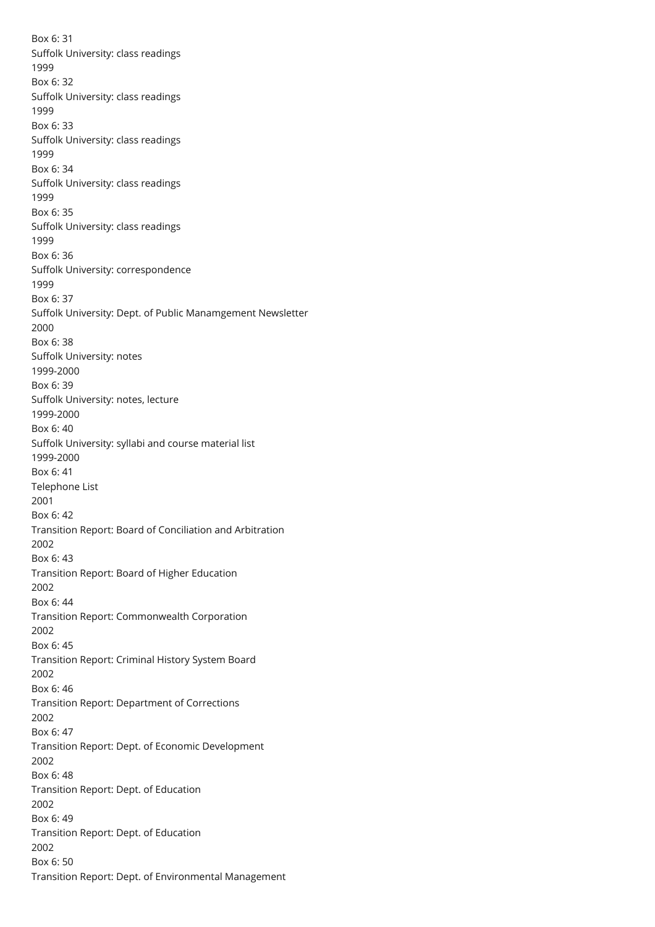Box 6: 31 Suffolk University: class readings 1999 Box 6: 32 Suffolk University: class readings 1999 Box 6: 33 Suffolk University: class readings 1999 Box 6: 34 Suffolk University: class readings 1999 Box 6: 35 Suffolk University: class readings 1999 Box 6: 36 Suffolk University: correspondence 1999 Box 6: 37 Suffolk University: Dept. of Public Manamgement Newsletter 2000 Box 6: 38 Suffolk University: notes 1999-2000 Box 6: 39 Suffolk University: notes, lecture 1999-2000 Box 6: 40 Suffolk University: syllabi and course material list 1999-2000 Box 6: 41 Telephone List 2001 Box 6: 42 Transition Report: Board of Conciliation and Arbitration 2002 Box 6: 43 Transition Report: Board of Higher Education 2002 Box 6: 44 Transition Report: Commonwealth Corporation 2002 Box 6: 45 Transition Report: Criminal History System Board 2002 Box 6: 46 Transition Report: Department of Corrections 2002 Box 6: 47 Transition Report: Dept. of Economic Development 2002 Box 6: 48 Transition Report: Dept. of Education 2002 Box 6: 49 Transition Report: Dept. of Education 2002 Box 6: 50 Transition Report: Dept. of Environmental Management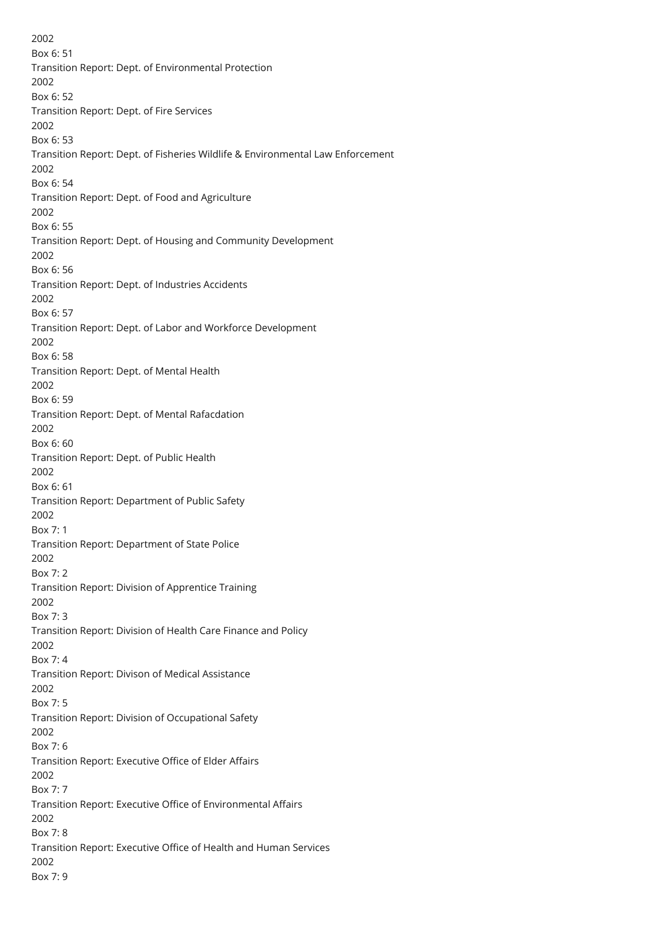2002 Box 6: 51 Transition Report: Dept. of Environmental Protection 2002 Box 6: 52 Transition Report: Dept. of Fire Services 2002 Box 6: 53 Transition Report: Dept. of Fisheries Wildlife & Environmental Law Enforcement 2002 Box 6: 54 Transition Report: Dept. of Food and Agriculture 2002 Box 6: 55 Transition Report: Dept. of Housing and Community Development 2002 Box 6: 56 Transition Report: Dept. of Industries Accidents 2002 Box 6: 57 Transition Report: Dept. of Labor and Workforce Development 2002 Box 6: 58 Transition Report: Dept. of Mental Health 2002 Box 6: 59 Transition Report: Dept. of Mental Rafacdation 2002 Box 6: 60 Transition Report: Dept. of Public Health 2002 Box 6: 61 Transition Report: Department of Public Safety 2002 Box 7: 1 Transition Report: Department of State Police 2002 Box 7: 2 Transition Report: Division of Apprentice Training 2002 Box 7: 3 Transition Report: Division of Health Care Finance and Policy 2002 Box 7: 4 Transition Report: Divison of Medical Assistance 2002 Box 7: 5 Transition Report: Division of Occupational Safety 2002 Box 7: 6 Transition Report: Executive Office of Elder Affairs 2002 Box 7: 7 Transition Report: Executive Office of Environmental Affairs 2002 Box 7: 8 Transition Report: Executive Office of Health and Human Services 2002 Box 7: 9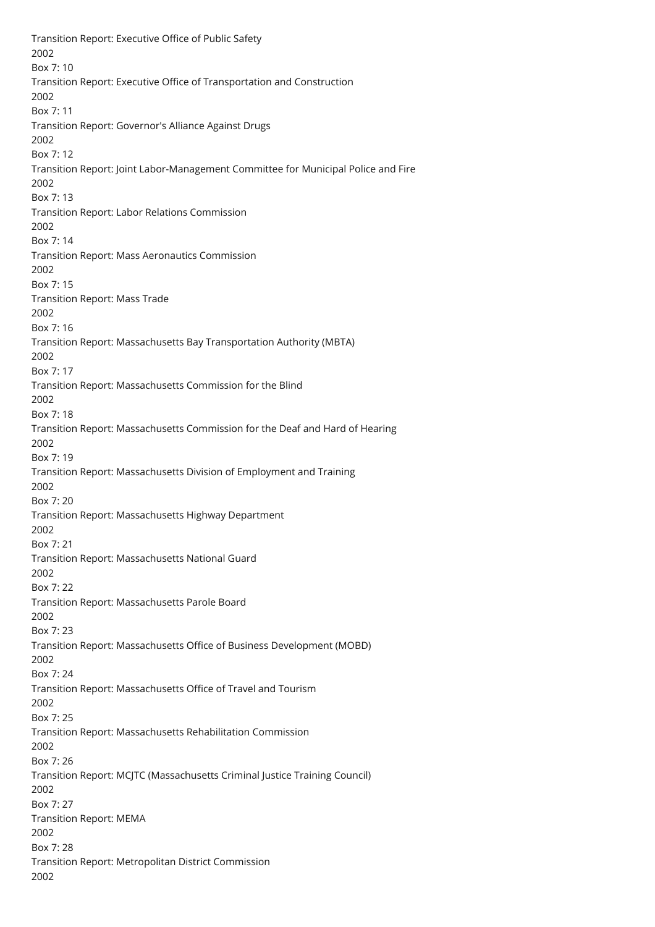Transition Report: Executive Office of Public Safety 2002 Box 7: 10 Transition Report: Executive Office of Transportation and Construction 2002 Box 7: 11 Transition Report: Governor's Alliance Against Drugs 2002 Box 7: 12 Transition Report: Joint Labor-Management Committee for Municipal Police and Fire 2002 Box 7: 13 Transition Report: Labor Relations Commission 2002 Box 7: 14 Transition Report: Mass Aeronautics Commission 2002 Box 7: 15 Transition Report: Mass Trade 2002 Box 7: 16 Transition Report: Massachusetts Bay Transportation Authority (MBTA) 2002 Box 7: 17 Transition Report: Massachusetts Commission for the Blind 2002 Box 7: 18 Transition Report: Massachusetts Commission for the Deaf and Hard of Hearing 2002 Box 7: 19 Transition Report: Massachusetts Division of Employment and Training 2002 Box 7: 20 Transition Report: Massachusetts Highway Department 2002 Box 7: 21 Transition Report: Massachusetts National Guard 2002 Box 7: 22 Transition Report: Massachusetts Parole Board 2002 Box 7: 23 Transition Report: Massachusetts Office of Business Development (MOBD) 2002 Box 7: 24 Transition Report: Massachusetts Office of Travel and Tourism 2002 Box 7: 25 Transition Report: Massachusetts Rehabilitation Commission 2002 Box 7: 26 Transition Report: MCJTC (Massachusetts Criminal Justice Training Council) 2002 Box 7: 27 Transition Report: MEMA 2002 Box 7: 28 Transition Report: Metropolitan District Commission 2002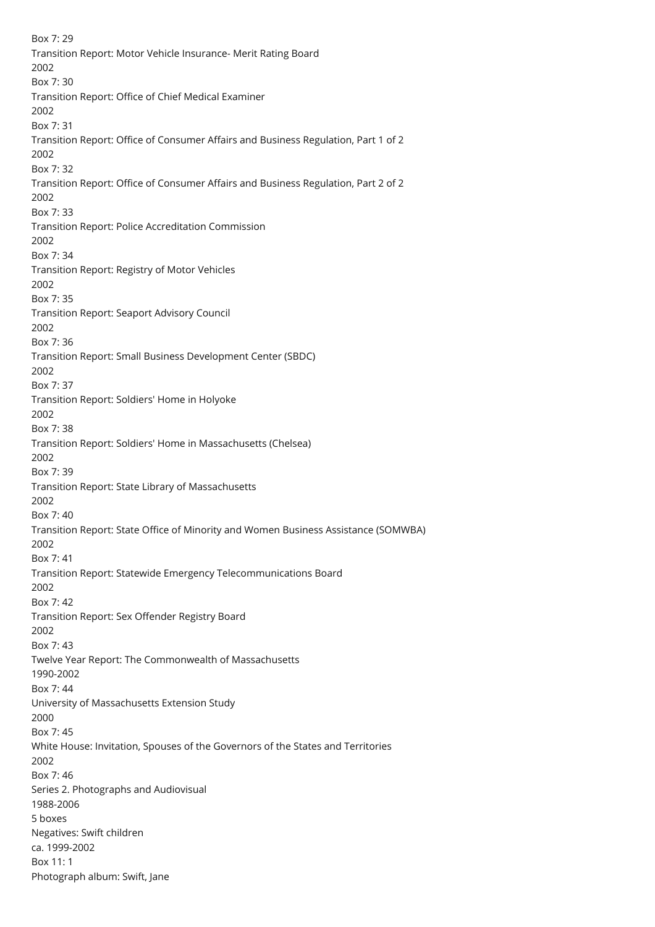Box 7: 29 Transition Report: Motor Vehicle Insurance- Merit Rating Board 2002 Box 7: 30 Transition Report: Office of Chief Medical Examiner 2002 Box 7: 31 Transition Report: Office of Consumer Affairs and Business Regulation, Part 1 of 2 2002 Box 7: 32 Transition Report: Office of Consumer Affairs and Business Regulation, Part 2 of 2 2002 Box 7: 33 Transition Report: Police Accreditation Commission 2002 Box 7: 34 Transition Report: Registry of Motor Vehicles 2002 Box 7: 35 Transition Report: Seaport Advisory Council 2002 Box 7: 36 Transition Report: Small Business Development Center (SBDC) 2002 Box 7: 37 Transition Report: Soldiers' Home in Holyoke 2002 Box 7: 38 Transition Report: Soldiers' Home in Massachusetts (Chelsea) 2002 Box 7: 39 Transition Report: State Library of Massachusetts 2002 Box 7: 40 Transition Report: State Office of Minority and Women Business Assistance (SOMWBA) 2002 Box 7: 41 Transition Report: Statewide Emergency Telecommunications Board 2002 Box 7: 42 Transition Report: Sex Offender Registry Board 2002 Box 7: 43 Twelve Year Report: The Commonwealth of Massachusetts 1990-2002 Box 7: 44 University of Massachusetts Extension Study 2000 Box 7: 45 White House: Invitation, Spouses of the Governors of the States and Territories 2002 Box 7: 46 Series 2. Photographs and Audiovisual 1988-2006 5 boxes Negatives: Swift children ca. 1999-2002 Box 11: 1 Photograph album: Swift, Jane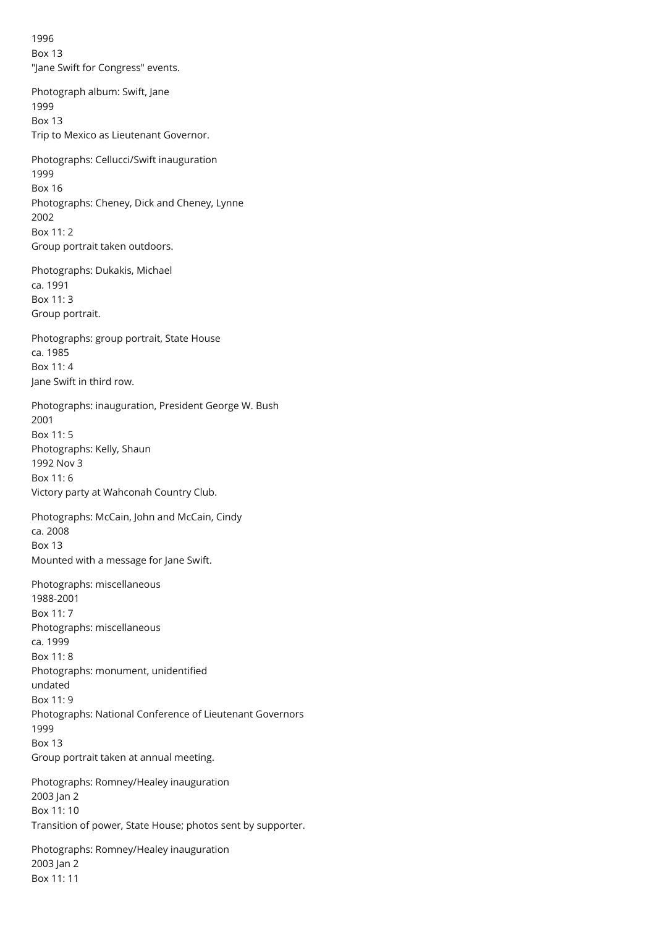1996 Box 13 "Jane Swift for Congress" events.

Photograph album: Swift, Jane 1999 Box 13 Trip to Mexico as Lieutenant Governor.

Photographs: Cellucci/Swift inauguration 1999 Box 16 Photographs: Cheney, Dick and Cheney, Lynne 2002 Box 11: 2 Group portrait taken outdoors.

Photographs: Dukakis, Michael ca. 1991 Box 11: 3 Group portrait.

Photographs: group portrait, State House ca. 1985 Box 11: 4 Jane Swift in third row.

Photographs: inauguration, President George W. Bush 2001 Box 11: 5 Photographs: Kelly, Shaun 1992 Nov 3 Box 11: 6 Victory party at Wahconah Country Club.

Photographs: McCain, John and McCain, Cindy ca. 2008 Box 13 Mounted with a message for Jane Swift.

Photographs: miscellaneous 1988-2001 Box 11: 7 Photographs: miscellaneous ca. 1999 Box 11: 8 Photographs: monument, unidentified undated Box 11: 9 Photographs: National Conference of Lieutenant Governors 1999 Box 13 Group portrait taken at annual meeting.

Photographs: Romney/Healey inauguration 2003 Jan 2 Box 11: 10 Transition of power, State House; photos sent by supporter.

Photographs: Romney/Healey inauguration 2003 Jan 2 Box 11: 11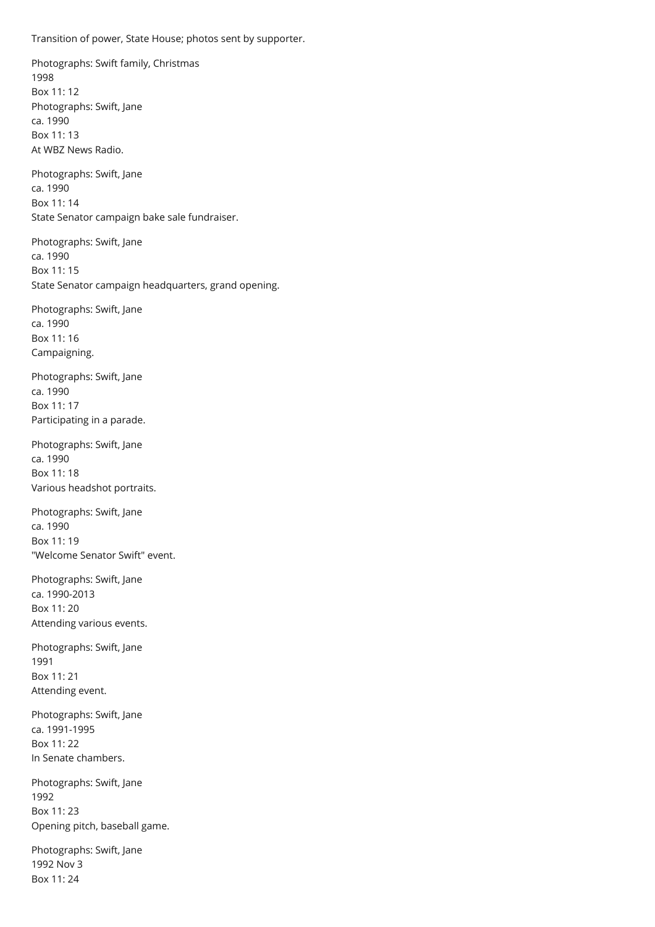Transition of power, State House; photos sent by supporter.

Photographs: Swift family, Christmas 1998 Box 11: 12 Photographs: Swift, Jane ca. 1990 Box 11: 13 At WBZ News Radio.

Photographs: Swift, Jane ca. 1990 Box 11: 14 State Senator campaign bake sale fundraiser.

Photographs: Swift, Jane ca. 1990 Box 11: 15 State Senator campaign headquarters, grand opening.

Photographs: Swift, Jane ca. 1990 Box 11: 16 Campaigning.

Photographs: Swift, Jane ca. 1990 Box 11: 17 Participating in a parade.

Photographs: Swift, Jane ca. 1990 Box 11: 18 Various headshot portraits.

Photographs: Swift, Jane ca. 1990 Box 11: 19 "Welcome Senator Swift" event.

Photographs: Swift, Jane ca. 1990-2013 Box 11: 20 Attending various events.

Photographs: Swift, Jane 1991 Box 11: 21 Attending event.

Photographs: Swift, Jane ca. 1991-1995 Box 11: 22 In Senate chambers.

Photographs: Swift, Jane 1992 Box 11: 23 Opening pitch, baseball game.

Photographs: Swift, Jane 1992 Nov 3 Box 11: 24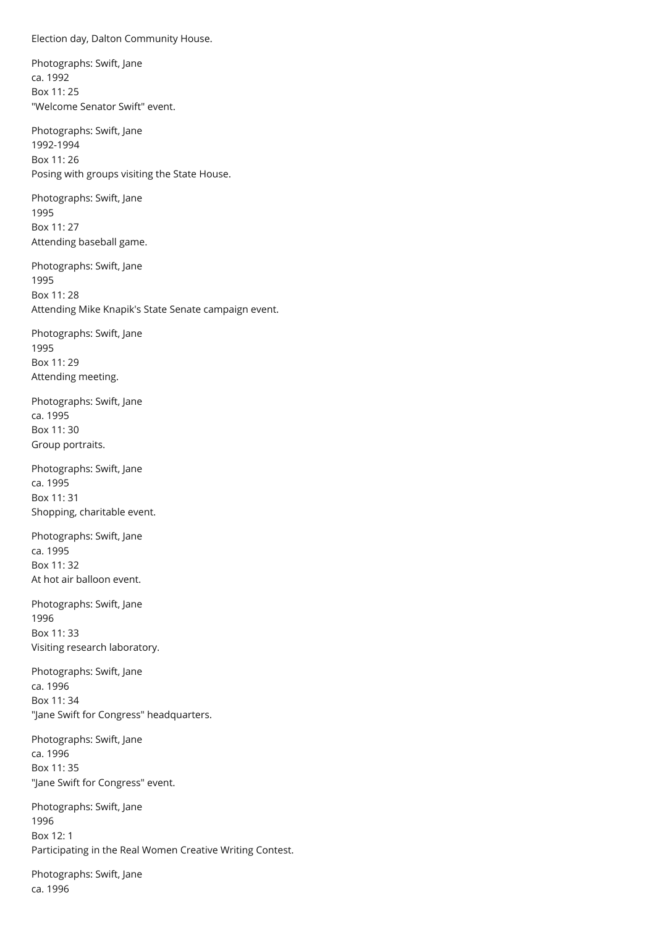<span id="page-29-0"></span>Election day, Dalton Community House.

Photographs: Swift, Jane ca. 1992 Box 11: 25 "Welcome Senator Swift" event.

Photographs: Swift, Jane 1992-1994 Box 11: 26 Posing with groups visiting the State House.

Photographs: Swift, Jane 1995 Box 11: 27 Attending baseball game.

Photographs: Swift, Jane 1995 Box 11: 28 Attending Mike Knapik's State Senate campaign event.

Photographs: Swift, Jane 1995 Box 11: 29 Attending meeting.

Photographs: Swift, Jane ca. 1995 Box 11: 30 Group portraits.

Photographs: Swift, Jane ca. 1995 Box 11: 31 Shopping, charitable event.

Photographs: Swift, Jane ca. 1995 Box 11: 32 At hot air balloon event.

Photographs: Swift, Jane 1996 Box 11: 33 Visiting research laboratory.

Photographs: Swift, Jane ca. 1996 Box 11: 34 "Jane Swift for Congress" headquarters.

Photographs: Swift, Jane ca. 1996 Box 11: 35 "Jane Swift for Congress" event.

Photographs: Swift, Jane 1996 Box 12: 1 Participating in the Real Women Creative Writing Contest.

Photographs: Swift, Jane ca. 1996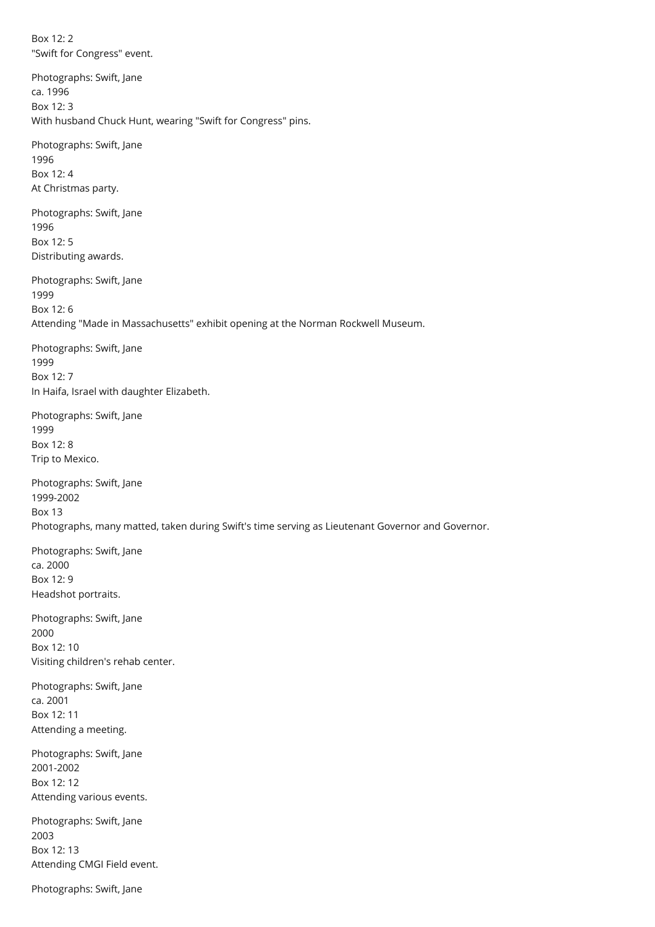Box 12: 2 "Swift for Congress" event.

Photographs: Swift, Jane ca. 1996  $Box$  12: 3 With husband Chuck Hunt, wearing "Swift for Congress" pins.

Photographs: Swift, Jane 1996 Box 12: 4 At Christmas party.

Photographs: Swift, Jane 1996 Box 12: 5 Distributing awards.

Photographs: Swift, Jane 1999 Box 12: 6 Attending "Made in Massachusetts" exhibit opening at the Norman Rockwell Museum.

Photographs: Swift, Jane 1999 Box 12: 7 In Haifa, Israel with daughter Elizabeth.

Photographs: Swift, Jane 1999 Box 12: 8 Trip to Mexico.

Photographs: Swift, Jane 1999-2002 Box 13 Photographs, many matted, taken during Swift's time serving as Lieutenant Governor and Governor.

Photographs: Swift, Jane ca. 2000 Box 12: 9 Headshot portraits.

Photographs: Swift, Jane 2000 Box 12: 10 Visiting children's rehab center.

Photographs: Swift, Jane ca. 2001 Box 12: 11 Attending a meeting.

Photographs: Swift, Jane 2001-2002 Box 12: 12 Attending various events.

Photographs: Swift, Jane 2003 Box 12: 13 Attending CMGI Field event.

Photographs: Swift, Jane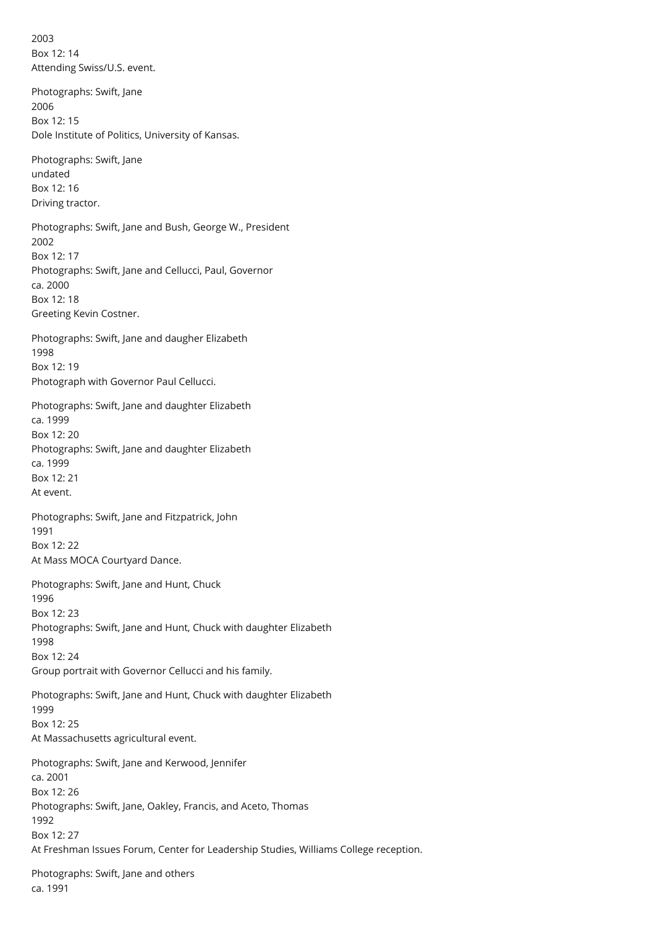2003 Box 12: 14 Attending Swiss/U.S. event.

Photographs: Swift, Jane 2006 Box 12: 15 Dole Institute of Politics, University of Kansas.

Photographs: Swift, Jane undated Box 12: 16 Driving tractor.

Photographs: Swift, Jane and Bush, George W., President 2002 Box 12: 17 Photographs: Swift, Jane and Cellucci, Paul, Governor ca. 2000 Box 12: 18 Greeting Kevin Costner.

Photographs: Swift, Jane and daugher Elizabeth 1998 Box 12: 19 Photograph with Governor Paul Cellucci.

Photographs: Swift, Jane and daughter Elizabeth ca. 1999 Box 12: 20 Photographs: Swift, Jane and daughter Elizabeth ca. 1999 Box 12: 21 At event.

Photographs: Swift, Jane and Fitzpatrick, John 1991 Box 12: 22 At Mass MOCA Courtyard Dance.

Photographs: Swift, Jane and Hunt, Chuck 1996 Box 12: 23 Photographs: Swift, Jane and Hunt, Chuck with daughter Elizabeth 1998 Box 12: 24 Group portrait with Governor Cellucci and his family.

Photographs: Swift, Jane and Hunt, Chuck with daughter Elizabeth 1999 Box 12: 25 At Massachusetts agricultural event.

Photographs: Swift, Jane and Kerwood, Jennifer ca. 2001 Box 12: 26 Photographs: Swift, Jane, Oakley, Francis, and Aceto, Thomas 1992 Box 12: 27 At Freshman Issues Forum, Center for Leadership Studies, Williams College reception.

Photographs: Swift, Jane and others ca. 1991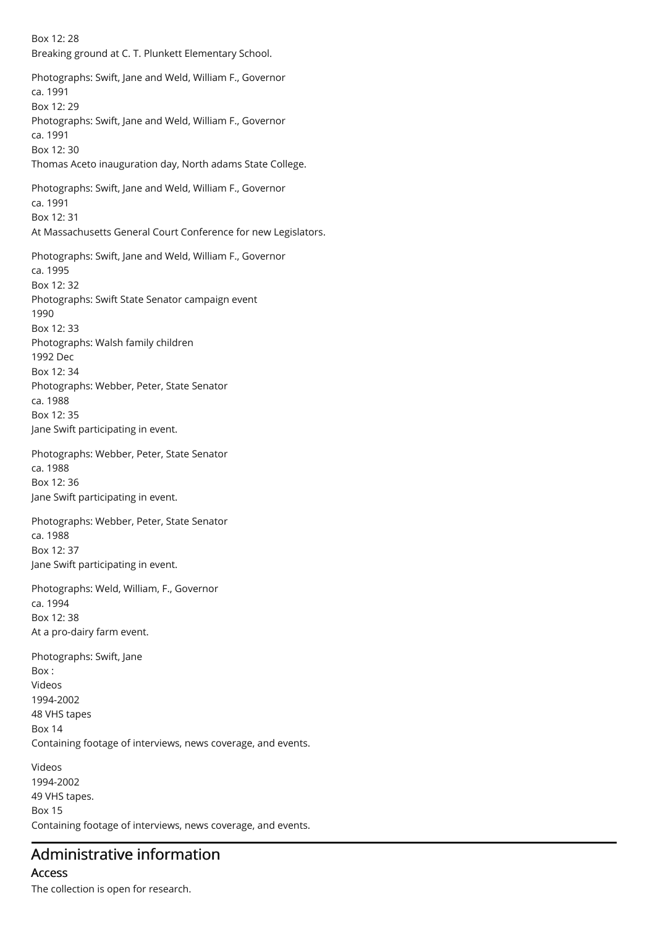Box 12: 28 Breaking ground at C. T. Plunkett Elementary School. Photographs: Swift, Jane and Weld, William F., Governor ca. 1991 Box 12: 29 Photographs: Swift, Jane and Weld, William F., Governor ca. 1991 Box 12: 30 Thomas Aceto inauguration day, North adams State College. Photographs: Swift, Jane and Weld, William F., Governor ca. 1991 Box 12: 31 At Massachusetts General Court Conference for new Legislators. Photographs: Swift, Jane and Weld, William F., Governor ca. 1995 Box 12: 32 Photographs: Swift State Senator campaign event 1990 Box 12: 33 Photographs: Walsh family children 1992 Dec Box 12: 34 Photographs: Webber, Peter, State Senator ca. 1988 Box 12: 35 Jane Swift participating in event. Photographs: Webber, Peter, State Senator ca. 1988 Box 12: 36 Jane Swift participating in event. Photographs: Webber, Peter, State Senator ca. 1988 Box 12: 37 Jane Swift participating in event. Photographs: Weld, William, F., Governor ca. 1994 Box 12: 38 At a pro-dairy farm event. Photographs: Swift, Jane Box : Videos 1994-2002 48 VHS tapes Box 14 Containing footage of interviews, news coverage, and events. Videos 1994-2002 49 VHS tapes. Box 15 Containing footage of interviews, news coverage, and events.

# Administrative information

Access The collection is open for research.